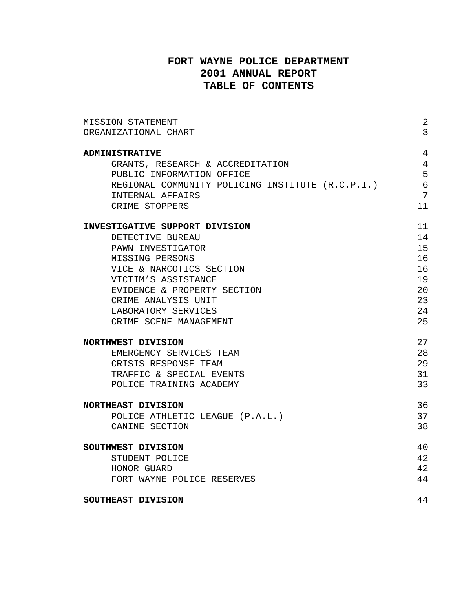## **FORT WAYNE POLICE DEPARTMENT 2001 ANNUAL REPORT TABLE OF CONTENTS**

| MISSION STATEMENT                                | 2              |
|--------------------------------------------------|----------------|
| ORGANIZATIONAL CHART                             | $\overline{3}$ |
| <b>ADMINISTRATIVE</b>                            | 4              |
| GRANTS, RESEARCH & ACCREDITATION                 | $\overline{4}$ |
| PUBLIC INFORMATION OFFICE                        | 5              |
| REGIONAL COMMUNITY POLICING INSTITUTE (R.C.P.I.) | $\epsilon$     |
| INTERNAL AFFAIRS                                 | 7              |
| CRIME STOPPERS                                   | 11             |
|                                                  |                |
| <b>INVESTIGATIVE SUPPORT DIVISION</b>            | 11             |
| DETECTIVE BUREAU                                 | 14             |
| PAWN INVESTIGATOR                                | 15             |
| MISSING PERSONS                                  | 16             |
| VICE & NARCOTICS SECTION                         | 16             |
| VICTIM'S ASSISTANCE                              | 19             |
| EVIDENCE & PROPERTY SECTION                      | 20             |
| CRIME ANALYSIS UNIT                              | 23             |
| LABORATORY SERVICES                              | 24             |
| CRIME SCENE MANAGEMENT                           | 25             |
| NORTHWEST DIVISION                               | 27             |
| EMERGENCY SERVICES TEAM                          | 28             |
| CRISIS RESPONSE TEAM                             | 29             |
| TRAFFIC & SPECIAL EVENTS                         | 31             |
| POLICE TRAINING ACADEMY                          | 33             |
| <b>NORTHEAST DIVISION</b>                        | 36             |
| POLICE ATHLETIC LEAGUE (P.A.L.)                  | 37             |
| CANINE SECTION                                   | 38             |
|                                                  |                |
| SOUTHWEST DIVISION                               | 40             |
| STUDENT POLICE                                   | 42             |
| HONOR GUARD                                      | 42             |
| FORT WAYNE POLICE RESERVES                       | 44             |
| SOUTHEAST DIVISION                               | 44             |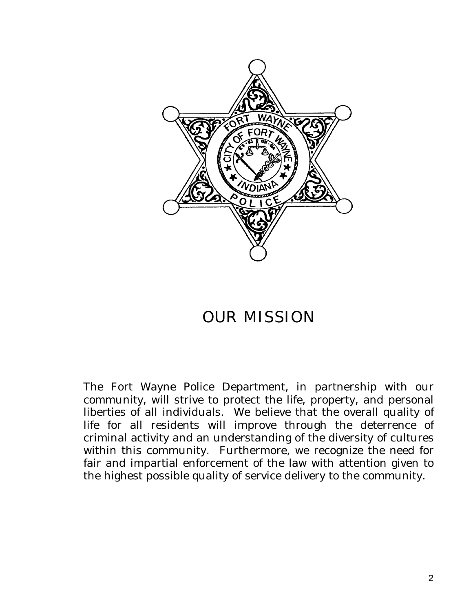

# OUR MISSION

The Fort Wayne Police Department, in partnership with our community, will strive to protect the life, property, and personal liberties of all individuals. We believe that the overall quality of life for all residents will improve through the deterrence of criminal activity and an understanding of the diversity of cultures within this community. Furthermore, we recognize the need for fair and impartial enforcement of the law with attention given to the highest possible quality of service delivery to the community.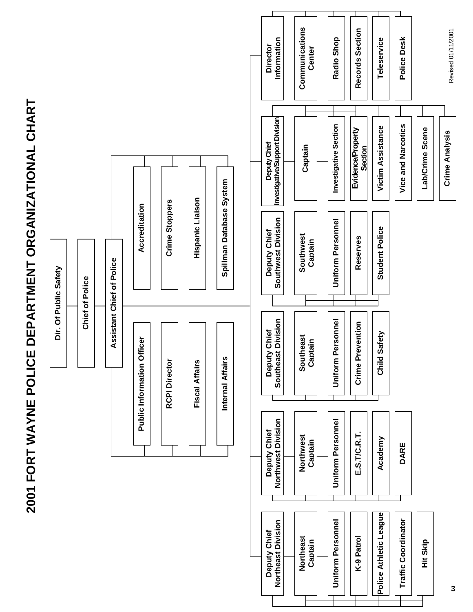

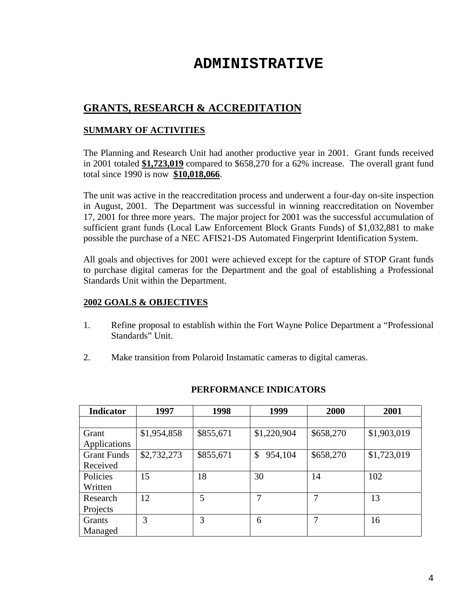# **ADMINISTRATIVE**

# **GRANTS, RESEARCH & ACCREDITATION**

## **SUMMARY OF ACTIVITIES**

The Planning and Research Unit had another productive year in 2001. Grant funds received in 2001 totaled **\$1,723,019** compared to \$658,270 for a 62% increase. The overall grant fund total since 1990 is now **\$10,018,066**.

The unit was active in the reaccreditation process and underwent a four-day on-site inspection in August, 2001. The Department was successful in winning reaccreditation on November 17, 2001 for three more years. The major project for 2001 was the successful accumulation of sufficient grant funds (Local Law Enforcement Block Grants Funds) of \$1,032,881 to make possible the purchase of a NEC AFIS21-DS Automated Fingerprint Identification System.

All goals and objectives for 2001 were achieved except for the capture of STOP Grant funds to purchase digital cameras for the Department and the goal of establishing a Professional Standards Unit within the Department.

## **2002 GOALS & OBJECTIVES**

- 1. Refine proposal to establish within the Fort Wayne Police Department a "Professional Standards" Unit.
- 2. Make transition from Polaroid Instamatic cameras to digital cameras.

| <b>Indicator</b>   | 1997        | 1998      | 1999          | 2000      | 2001        |
|--------------------|-------------|-----------|---------------|-----------|-------------|
|                    |             |           |               |           |             |
| Grant              | \$1,954,858 | \$855,671 | \$1,220,904   | \$658,270 | \$1,903,019 |
| Applications       |             |           |               |           |             |
| <b>Grant Funds</b> | \$2,732,273 | \$855,671 | 954,104<br>\$ | \$658,270 | \$1,723,019 |
| Received           |             |           |               |           |             |
| Policies           | 15          | 18        | 30            | 14        | 102         |
| Written            |             |           |               |           |             |
| Research           | 12          | 5         | 7             | 7         | 13          |
| Projects           |             |           |               |           |             |
| Grants             | 3           | 3         | 6             | 7         | 16          |
| Managed            |             |           |               |           |             |

## **PERFORMANCE INDICATORS**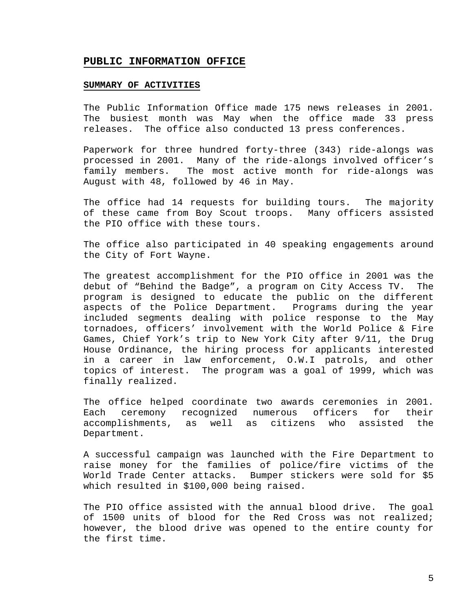#### **PUBLIC INFORMATION OFFICE**

#### **SUMMARY OF ACTIVITIES**

The Public Information Office made 175 news releases in 2001. The busiest month was May when the office made 33 press releases. The office also conducted 13 press conferences.

Paperwork for three hundred forty-three (343) ride-alongs was processed in 2001. Many of the ride-alongs involved officer's family members. The most active month for ride-alongs was August with 48, followed by 46 in May.

The office had 14 requests for building tours. The majority of these came from Boy Scout troops. Many officers assisted the PIO office with these tours.

The office also participated in 40 speaking engagements around the City of Fort Wayne.

The greatest accomplishment for the PIO office in 2001 was the debut of "Behind the Badge", a program on City Access TV. The program is designed to educate the public on the different aspects of the Police Department. Programs during the year included segments dealing with police response to the May tornadoes, officers' involvement with the World Police & Fire Games, Chief York's trip to New York City after 9/11, the Drug House Ordinance, the hiring process for applicants interested in a career in law enforcement, O.W.I patrols, and other topics of interest. The program was a goal of 1999, which was finally realized.

The office helped coordinate two awards ceremonies in 2001. Each ceremony recognized numerous officers for their accomplishments, as well as citizens who assisted the Department.

A successful campaign was launched with the Fire Department to raise money for the families of police/fire victims of the World Trade Center attacks. Bumper stickers were sold for \$5 which resulted in \$100,000 being raised.

The PIO office assisted with the annual blood drive. The goal of 1500 units of blood for the Red Cross was not realized; however, the blood drive was opened to the entire county for the first time.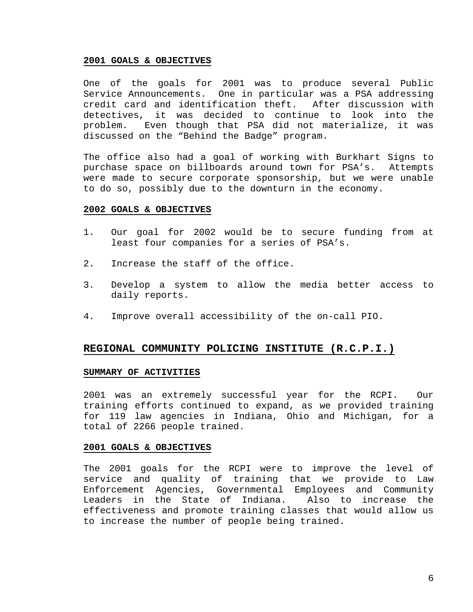#### **2001 GOALS & OBJECTIVES**

One of the goals for 2001 was to produce several Public Service Announcements. One in particular was a PSA addressing credit card and identification theft. After discussion with detectives, it was decided to continue to look into the problem. Even though that PSA did not materialize, it was discussed on the "Behind the Badge" program.

The office also had a goal of working with Burkhart Signs to purchase space on billboards around town for PSA's. Attempts were made to secure corporate sponsorship, but we were unable to do so, possibly due to the downturn in the economy.

#### **2002 GOALS & OBJECTIVES**

- 1. Our goal for 2002 would be to secure funding from at least four companies for a series of PSA's.
- 2. Increase the staff of the office.
- 3. Develop a system to allow the media better access to daily reports.
- 4. Improve overall accessibility of the on-call PIO.

## **REGIONAL COMMUNITY POLICING INSTITUTE (R.C.P.I.)**

#### **SUMMARY OF ACTIVITIES**

2001 was an extremely successful year for the RCPI. Our training efforts continued to expand, as we provided training for 119 law agencies in Indiana, Ohio and Michigan, for a total of 2266 people trained.

#### **2001 GOALS & OBJECTIVES**

The 2001 goals for the RCPI were to improve the level of service and quality of training that we provide to Law Enforcement Agencies, Governmental Employees and Community Leaders in the State of Indiana. Also to increase the effectiveness and promote training classes that would allow us to increase the number of people being trained.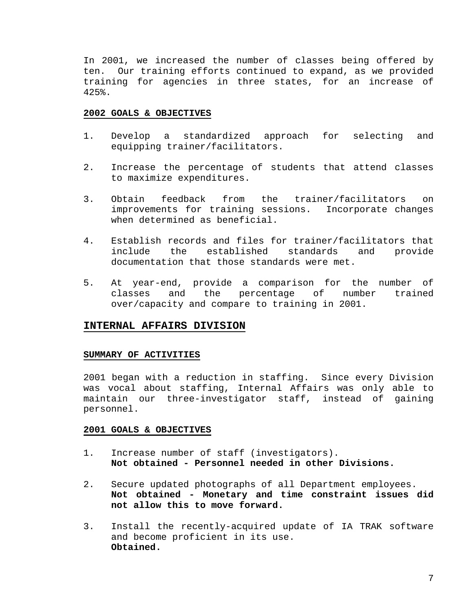In 2001, we increased the number of classes being offered by ten. Our training efforts continued to expand, as we provided training for agencies in three states, for an increase of 425%.

#### **2002 GOALS & OBJECTIVES**

- 1. Develop a standardized approach for selecting and equipping trainer/facilitators.
- 2. Increase the percentage of students that attend classes to maximize expenditures.
- 3. Obtain feedback from the trainer/facilitators on improvements for training sessions. Incorporate changes when determined as beneficial.
- 4. Establish records and files for trainer/facilitators that include the established standards and provide documentation that those standards were met.
- 5. At year-end, provide a comparison for the number of classes and the percentage of number trained over/capacity and compare to training in 2001.

#### **INTERNAL AFFAIRS DIVISION**

#### **SUMMARY OF ACTIVITIES**

2001 began with a reduction in staffing. Since every Division was vocal about staffing, Internal Affairs was only able to maintain our three-investigator staff, instead of gaining personnel.

- 1. Increase number of staff (investigators). **Not obtained - Personnel needed in other Divisions.**
- 2. Secure updated photographs of all Department employees. **Not obtained - Monetary and time constraint issues did not allow this to move forward.**
- 3. Install the recently-acquired update of IA TRAK software and become proficient in its use. **Obtained.**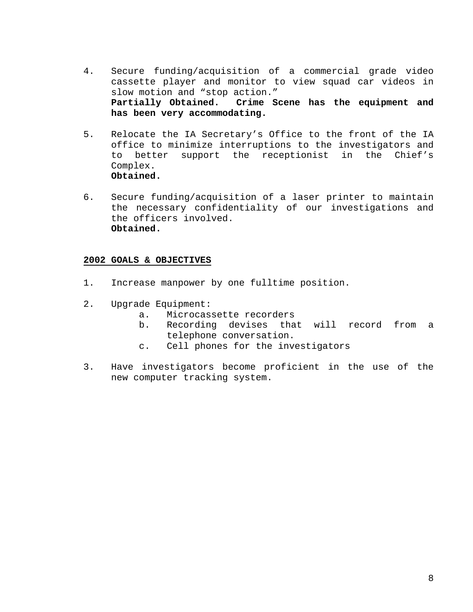- 4. Secure funding/acquisition of a commercial grade video cassette player and monitor to view squad car videos in slow motion and "stop action." **Partially Obtained. Crime Scene has the equipment and has been very accommodating.**
- 5. Relocate the IA Secretary's Office to the front of the IA office to minimize interruptions to the investigators and to better support the receptionist in the Chief's Complex. **Obtained.**
- 6. Secure funding/acquisition of a laser printer to maintain the necessary confidentiality of our investigations and the officers involved. **Obtained.**

- 1. Increase manpower by one fulltime position.
- 2. Upgrade Equipment:
	- a. Microcassette recorders
	- b. Recording devises that will record from a telephone conversation.
	- c. Cell phones for the investigators
- 3. Have investigators become proficient in the use of the new computer tracking system.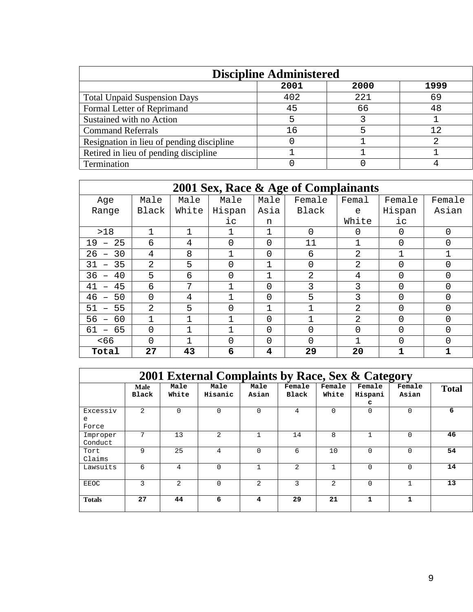| <b>Discipline Administered</b>            |      |      |      |  |  |
|-------------------------------------------|------|------|------|--|--|
|                                           | 2001 | 2000 | 1999 |  |  |
| <b>Total Unpaid Suspension Days</b>       | 402  | 221  | 69   |  |  |
| Formal Letter of Reprimand                | 45   | 66   | 48   |  |  |
| Sustained with no Action                  | 5    |      |      |  |  |
| <b>Command Referrals</b>                  | 16   |      | 12   |  |  |
| Resignation in lieu of pending discipline |      |      |      |  |  |
| Retired in lieu of pending discipline     |      |      |      |  |  |
| Termination                               |      |      |      |  |  |

| 2001 Sex, Race & Age of Complainants |       |       |          |          |                |                |          |              |
|--------------------------------------|-------|-------|----------|----------|----------------|----------------|----------|--------------|
| Age                                  | Male  | Male  | Male     | Male     | Female         | Femal          | Female   | Female       |
| Range                                | Black | White | Hispan   | Asia     | Black          | e              | Hispan   | Asian        |
|                                      |       |       | iс       | n        |                | White          | $i$ c    |              |
| >18                                  |       |       |          |          | $\overline{0}$ | 0              | 0        | $\Omega$     |
| 25<br>19<br>$\overline{\phantom{m}}$ | 6     | 4     | $\Omega$ | 0        | 11             |                | $\Omega$ | $\Omega$     |
| 30<br>26                             | 4     | 8     |          | 0        | 6              | 2              | 1        | 1            |
| 35<br>31                             | 2     | 5     | $\Omega$ |          | 0              | 2              | 0        | 0            |
| 40<br>36                             | 5     | 6     | $\Omega$ |          | $\overline{2}$ | 4              | $\Omega$ | 0            |
| 41<br>45                             | 6     | 7     |          | 0        | 3              | 3              | 0        | 0            |
| 46<br>50                             | 0     | 4     |          | 0        | 5              | 3              | 0        | 0            |
| 51<br>55                             | 2     | 5     | $\Omega$ | 1        | 1              | $\mathfrak{D}$ | $\Omega$ | 0            |
| 56<br>60                             | 1     |       |          | $\Omega$ | 1              | 2              | $\Omega$ | $\Omega$     |
| 61<br>65                             | 0     |       |          | 0        | 0              | 0              | 0        | 0            |
| 566                                  | 0     |       | $\Omega$ | 0        | 0              |                | 0        | 0            |
| Total                                | 27    | 43    | 6        | 4        | 29             | 20             | 1        | $\mathbf{1}$ |

| 2001 External Complaints by Race, Sex & Category |                |                |                 |                |                 |                 |                        |                 |              |
|--------------------------------------------------|----------------|----------------|-----------------|----------------|-----------------|-----------------|------------------------|-----------------|--------------|
|                                                  | Male<br>Black  | Male<br>White  | Male<br>Hisanic | Male<br>Asian  | Female<br>Black | Female<br>White | Female<br>Hispani<br>C | Female<br>Asian | <b>Total</b> |
| Excessiv<br>e<br>Force                           | $\overline{2}$ | $\Omega$       | $\Omega$        | $\Omega$       | 4               | $\Omega$        | $\Omega$               | $\Omega$        | 6            |
| Improper<br>Conduct                              | 7              | 13             | 2               |                | 14              | 8               |                        | $\Omega$        | 46           |
| Tort<br>Claims                                   | 9              | 25             | 4               | $\Omega$       | 6               | 10              | $\Omega$               | $\Omega$        | 54           |
| Lawsuits                                         | 6              | 4              | $\Omega$        | 1              | $\mathfrak{D}$  | $\mathbf{1}$    | $\Omega$               | $\Omega$        | 14           |
| <b>EEOC</b>                                      | ζ              | $\mathfrak{D}$ | $\Omega$        | $\mathfrak{D}$ | 3               | $\mathfrak{D}$  | $\Omega$               |                 | 13           |
| <b>Totals</b>                                    | 27             | 44             | 6               | 4              | 29              | 21              | 1                      |                 |              |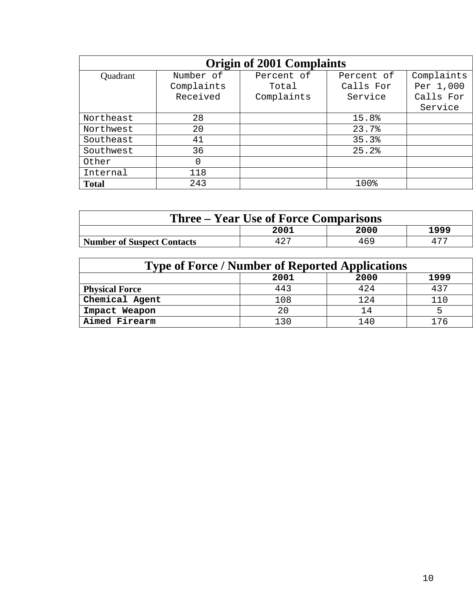| <b>Origin of 2001 Complaints</b> |            |            |            |            |  |  |
|----------------------------------|------------|------------|------------|------------|--|--|
| Quadrant                         | Number of  | Percent of | Percent of | Complaints |  |  |
|                                  | Complaints | Total      | Calls For  | Per 1,000  |  |  |
|                                  | Received   | Complaints | Service    | Calls For  |  |  |
|                                  |            |            |            | Service    |  |  |
| Northeast                        | 28         |            | 15.8%      |            |  |  |
| Northwest                        | 20         |            | 23.7%      |            |  |  |
| Southeast                        | 41         |            | 35.3%      |            |  |  |
| Southwest                        | 36         |            | 25.2%      |            |  |  |
| Other                            | 0          |            |            |            |  |  |
| Internal                         | 118        |            |            |            |  |  |
| <b>Total</b>                     | 243        |            | 100%       |            |  |  |

| <b>Three – Year Use of Force Comparisons</b> |      |      |      |  |  |
|----------------------------------------------|------|------|------|--|--|
|                                              | 2001 | 2000 | 1999 |  |  |
| <b>Number of Suspect Contacts</b>            | 427  | 469  |      |  |  |

| <b>Type of Force / Number of Reported Applications</b> |     |      |     |  |  |  |
|--------------------------------------------------------|-----|------|-----|--|--|--|
| 2000<br>1999<br>2001                                   |     |      |     |  |  |  |
| <b>Physical Force</b>                                  | 443 | 424  | 437 |  |  |  |
| Chemical Agent                                         | 108 | 124  | 110 |  |  |  |
| Impact Weapon                                          | 20  | 14   |     |  |  |  |
| Aimed Firearm                                          | 130 | 14 C |     |  |  |  |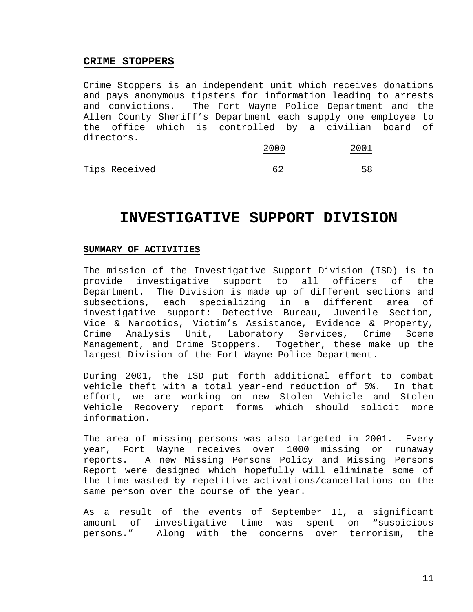## **CRIME STOPPERS**

Crime Stoppers is an independent unit which receives donations and pays anonymous tipsters for information leading to arrests and convictions. The Fort Wayne Police Department and the Allen County Sheriff's Department each supply one employee to the office which is controlled by a civilian board of directors.

|               | 2000 | 2001 |
|---------------|------|------|
| Tips Received | 62   | 58   |

# **INVESTIGATIVE SUPPORT DIVISION**

### **SUMMARY OF ACTIVITIES**

The mission of the Investigative Support Division (ISD) is to provide investigative support to all officers of the Department. The Division is made up of different sections and subsections, each specializing in a different area of investigative support: Detective Bureau, Juvenile Section, Vice & Narcotics, Victim's Assistance, Evidence & Property, Crime Analysis Unit, Laboratory Services, Crime Scene Management, and Crime Stoppers. Together, these make up the largest Division of the Fort Wayne Police Department.

During 2001, the ISD put forth additional effort to combat vehicle theft with a total year-end reduction of 5%. In that effort, we are working on new Stolen Vehicle and Stolen Vehicle Recovery report forms which should solicit more information.

The area of missing persons was also targeted in 2001. Every year, Fort Wayne receives over 1000 missing or runaway reports. A new Missing Persons Policy and Missing Persons Report were designed which hopefully will eliminate some of the time wasted by repetitive activations/cancellations on the same person over the course of the year.

As a result of the events of September 11, a significant amount of investigative time was spent on "suspicious persons." Along with the concerns over terrorism, the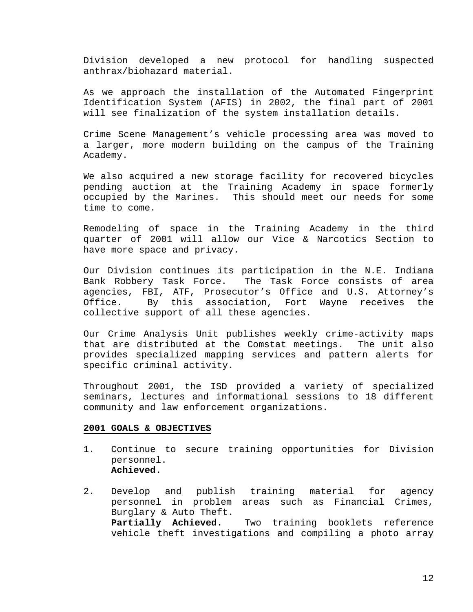Division developed a new protocol for handling suspected anthrax/biohazard material.

As we approach the installation of the Automated Fingerprint Identification System (AFIS) in 2002, the final part of 2001 will see finalization of the system installation details.

Crime Scene Management's vehicle processing area was moved to a larger, more modern building on the campus of the Training Academy.

We also acquired a new storage facility for recovered bicycles pending auction at the Training Academy in space formerly occupied by the Marines. This should meet our needs for some time to come.

Remodeling of space in the Training Academy in the third quarter of 2001 will allow our Vice & Narcotics Section to have more space and privacy.

Our Division continues its participation in the N.E. Indiana Bank Robbery Task Force. The Task Force consists of area agencies, FBI, ATF, Prosecutor's Office and U.S. Attorney's Office. By this association, Fort Wayne receives the collective support of all these agencies.

Our Crime Analysis Unit publishes weekly crime-activity maps that are distributed at the Comstat meetings. The unit also provides specialized mapping services and pattern alerts for specific criminal activity.

Throughout 2001, the ISD provided a variety of specialized seminars, lectures and informational sessions to 18 different community and law enforcement organizations.

- 1. Continue to secure training opportunities for Division personnel. **Achieved.**
- 2. Develop and publish training material for agency personnel in problem areas such as Financial Crimes, Burglary & Auto Theft. **Partially Achieved.** Two training booklets reference vehicle theft investigations and compiling a photo array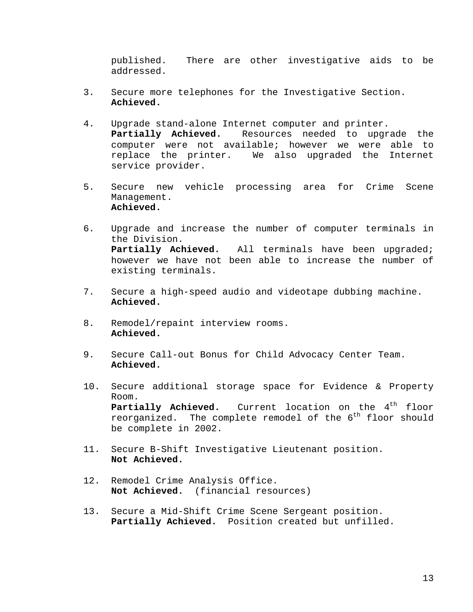published. There are other investigative aids to be addressed.

- 3. Secure more telephones for the Investigative Section. **Achieved.**
- 4. Upgrade stand-alone Internet computer and printer. **Partially Achieved.** Resources needed to upgrade the computer were not available; however we were able to replace the printer. We also upgraded the Internet service provider.
- 5. Secure new vehicle processing area for Crime Scene Management. **Achieved.**
- 6. Upgrade and increase the number of computer terminals in the Division. **Partially Achieved.** All terminals have been upgraded; however we have not been able to increase the number of existing terminals.
- 7. Secure a high-speed audio and videotape dubbing machine. **Achieved.**
- 8. Remodel/repaint interview rooms. **Achieved.**
- 9. Secure Call-out Bonus for Child Advocacy Center Team. **Achieved.**
- 10. Secure additional storage space for Evidence & Property Room. Partially Achieved. Current location on the 4<sup>th</sup> floor reorganized. The complete remodel of the  $6<sup>th</sup>$  floor should be complete in 2002.
- 11. Secure B-Shift Investigative Lieutenant position. **Not Achieved.**
- 12. Remodel Crime Analysis Office. **Not Achieved.** (financial resources)
- 13. Secure a Mid-Shift Crime Scene Sergeant position. **Partially Achieved.** Position created but unfilled.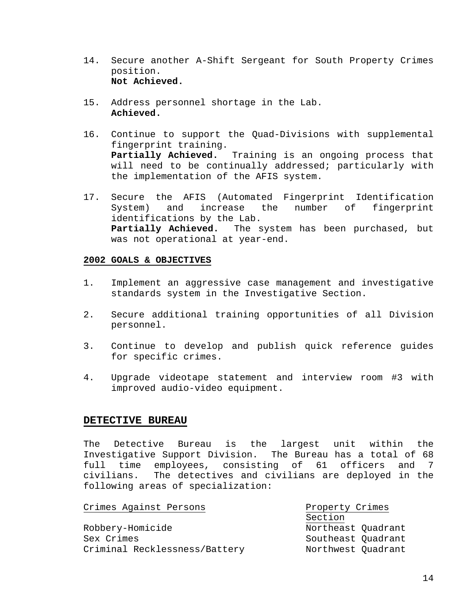- 14. Secure another A-Shift Sergeant for South Property Crimes position. **Not Achieved.**
- 15. Address personnel shortage in the Lab. **Achieved.**
- 16. Continue to support the Quad-Divisions with supplemental fingerprint training. **Partially Achieved.** Training is an ongoing process that will need to be continually addressed; particularly with the implementation of the AFIS system.
- 17. Secure the AFIS (Automated Fingerprint Identification System) and increase the number of fingerprint identifications by the Lab. **Partially Achieved.** The system has been purchased, but was not operational at year-end.

## **2002 GOALS & OBJECTIVES**

- 1. Implement an aggressive case management and investigative standards system in the Investigative Section.
- 2. Secure additional training opportunities of all Division personnel.
- 3. Continue to develop and publish quick reference guides for specific crimes.
- 4. Upgrade videotape statement and interview room #3 with improved audio-video equipment.

## **DETECTIVE BUREAU**

The Detective Bureau is the largest unit within the Investigative Support Division. The Bureau has a total of 68 full time employees, consisting of 61 officers and 7 civilians. The detectives and civilians are deployed in the following areas of specialization:

| Crimes Against Persons        | Property Crimes    |  |
|-------------------------------|--------------------|--|
|                               | Section            |  |
| Robbery-Homicide              | Northeast Quadrant |  |
| Sex Crimes                    | Southeast Quadrant |  |
| Criminal Recklessness/Battery | Northwest Quadrant |  |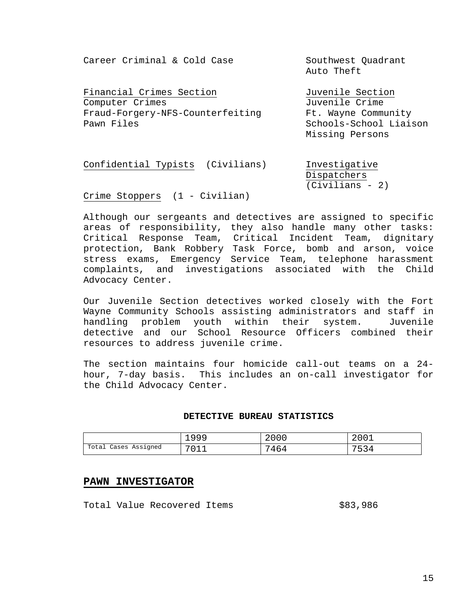Career Criminal & Cold Case Southwest Ouadrant

Financial Crimes Section Tuvenile Section Computer Crimes Juvenile Crime Fraud-Forgery-NFS-Counterfeiting Ft. Wayne Community Pawn Files Schools-School Liaison

Auto Theft

Missing Persons

Confidential Typists (Civilians) Investigative Dispatchers (Civilians - 2)

Crime Stoppers (1 - Civilian)

Although our sergeants and detectives are assigned to specific areas of responsibility, they also handle many other tasks: Critical Response Team, Critical Incident Team, dignitary protection, Bank Robbery Task Force, bomb and arson, voice stress exams, Emergency Service Team, telephone harassment complaints, and investigations associated with the Child Advocacy Center.

Our Juvenile Section detectives worked closely with the Fort Wayne Community Schools assisting administrators and staff in handling problem youth within their system. Juvenile detective and our School Resource Officers combined their resources to address juvenile crime.

The section maintains four homicide call-out teams on a 24 hour, 7-day basis. This includes an on-call investigator for the Child Advocacy Center.

### **DETECTIVE BUREAU STATISTICS**

|                      | 1999     | 2000 | 2001 |
|----------------------|----------|------|------|
| Total Cases Assigned | .<br>- - | 7464 | 752. |

#### **PAWN INVESTIGATOR**

Total Value Recovered Items  $$83,986$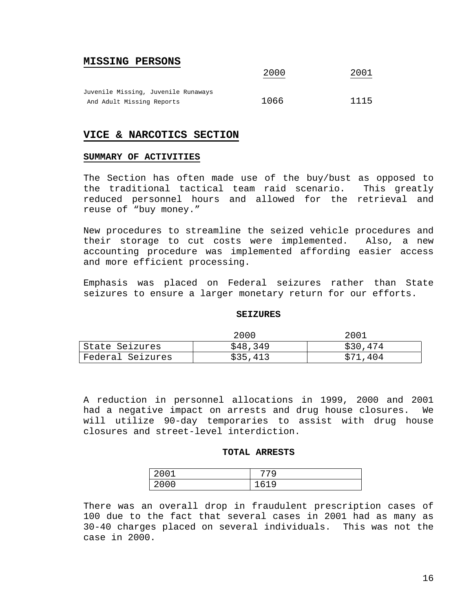## **MISSING PERSONS**

|                                     | ---  | 2002 |
|-------------------------------------|------|------|
| Juvenile Missing, Juvenile Runaways |      |      |
| And Adult Missing Reports           | 1066 | 1115 |

## **VICE & NARCOTICS SECTION**

#### **SUMMARY OF ACTIVITIES**

The Section has often made use of the buy/bust as opposed to the traditional tactical team raid scenario. This greatly reduced personnel hours and allowed for the retrieval and reuse of "buy money."

2000 2001

New procedures to streamline the seized vehicle procedures and their storage to cut costs were implemented. Also, a new accounting procedure was implemented affording easier access and more efficient processing.

Emphasis was placed on Federal seizures rather than State seizures to ensure a larger monetary return for our efforts.

#### **SEIZURES**

|                  | 2000     | 2001     |
|------------------|----------|----------|
| State Seizures   | \$48,349 | \$30,474 |
| Federal Seizures | \$35.413 | \$71,404 |

A reduction in personnel allocations in 1999, 2000 and 2001 had a negative impact on arrests and drug house closures. We will utilize 90-day temporaries to assist with drug house closures and street-level interdiction.

#### **TOTAL ARRESTS**

| $\sim$ $\sim$ $\sim$<br>,,,,, | 779  |
|-------------------------------|------|
| 2000<br>◡                     | 161Q |

There was an overall drop in fraudulent prescription cases of 100 due to the fact that several cases in 2001 had as many as 30-40 charges placed on several individuals. This was not the case in 2000.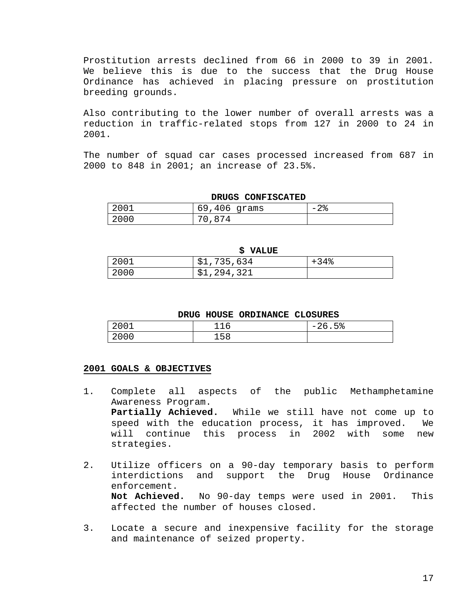Prostitution arrests declined from 66 in 2000 to 39 in 2001. We believe this is due to the success that the Drug House Ordinance has achieved in placing pressure on prostitution breeding grounds.

Also contributing to the lower number of overall arrests was a reduction in traffic-related stops from 127 in 2000 to 24 in 2001.

The number of squad car cases processed increased from 687 in 2000 to 848 in 2001; an increase of 23.5%.

| DRUGS CONFISCATED |                |               |  |
|-------------------|----------------|---------------|--|
| 2001              | $69,406$ grams | $-2$ $\delta$ |  |
| 2000              | .874           |               |  |

|      | S VALUE     |        |
|------|-------------|--------|
| 2001 | \$1,735,634 | $+34%$ |
| 2000 | \$1,294,321 |        |

#### **DRUG HOUSE ORDINANCE CLOSURES**

| 001<br>▵ | ⊸<br>-<br>ı<br>— — — ∪ | 5%<br>$\sim$ $\sim$<br>2 <sup>h</sup><br>$\overline{\phantom{0}}$ |
|----------|------------------------|-------------------------------------------------------------------|
| 2000     | 158                    |                                                                   |

- 1. Complete all aspects of the public Methamphetamine Awareness Program. **Partially Achieved.** While we still have not come up to speed with the education process, it has improved. We will continue this process in 2002 with some new strategies.
- 2. Utilize officers on a 90-day temporary basis to perform interdictions and support the Drug House Ordinance enforcement. **Not Achieved.** No 90-day temps were used in 2001. This affected the number of houses closed.
- 3. Locate a secure and inexpensive facility for the storage and maintenance of seized property.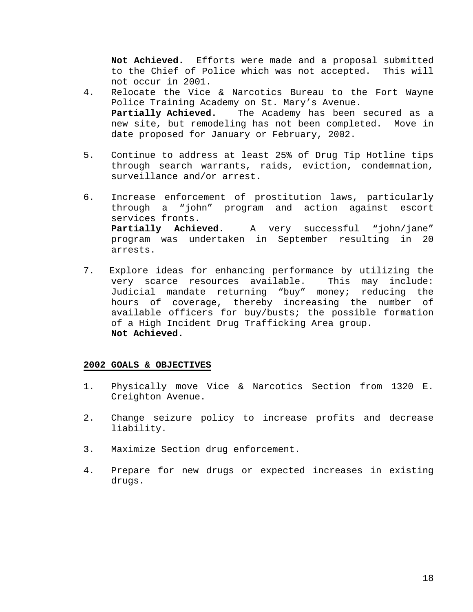**Not Achieved.** Efforts were made and a proposal submitted to the Chief of Police which was not accepted. This will not occur in 2001.

- 4. Relocate the Vice & Narcotics Bureau to the Fort Wayne Police Training Academy on St. Mary's Avenue. **Partially Achieved.** The Academy has been secured as a new site, but remodeling has not been completed. Move in date proposed for January or February, 2002.
- 5. Continue to address at least 25% of Drug Tip Hotline tips through search warrants, raids, eviction, condemnation, surveillance and/or arrest.
- 6. Increase enforcement of prostitution laws, particularly through a "john" program and action against escort services fronts. **Partially Achieved.** A very successful "john/jane" program was undertaken in September resulting in 20 arrests.
- 7. Explore ideas for enhancing performance by utilizing the very scarce resources available. This may include: Judicial mandate returning "buy" money; reducing the hours of coverage, thereby increasing the number of available officers for buy/busts; the possible formation of a High Incident Drug Trafficking Area group. **Not Achieved.**

- 1. Physically move Vice & Narcotics Section from 1320 E. Creighton Avenue.
- 2. Change seizure policy to increase profits and decrease liability.
- 3. Maximize Section drug enforcement.
- 4. Prepare for new drugs or expected increases in existing drugs.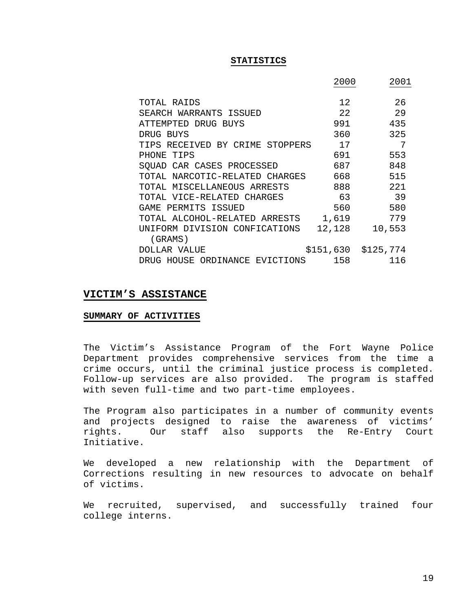#### **STATISTICS**

|                                 | 2000   | 2001                |
|---------------------------------|--------|---------------------|
| TOTAL RAIDS                     | 12.    | 26                  |
| SEARCH WARRANTS ISSUED          | 2.2.   | 29                  |
| ATTEMPTED DRUG BUYS             | 991    | 435                 |
| DRUG BUYS                       | 360    | 325                 |
| TIPS RECEIVED BY CRIME STOPPERS | 17     | 7                   |
| PHONE TIPS                      | 691    | 553                 |
| SOUAD CAR CASES PROCESSED       | 687    | 848                 |
| TOTAL NARCOTIC-RELATED CHARGES  | 668    | 515                 |
| TOTAL MISCELLANEOUS ARRESTS     | 888    | 2.2.1               |
| TOTAL VICE-RELATED CHARGES      | 63     | 39                  |
| GAME PERMITS ISSUED             | 560    | 580                 |
| TOTAL ALCOHOL-RELATED ARRESTS   | 1,619  | 779                 |
| UNIFORM DIVISION CONFICATIONS   | 12,128 | 10,553              |
| (GRAMS)                         |        |                     |
| DOLLAR VALUE                    |        | \$151,630 \$125,774 |
| DRUG HOUSE ORDINANCE EVICTIONS  | 158    | 116                 |

#### **VICTIM'S ASSISTANCE**

#### **SUMMARY OF ACTIVITIES**

The Victim's Assistance Program of the Fort Wayne Police Department provides comprehensive services from the time a crime occurs, until the criminal justice process is completed. Follow-up services are also provided. The program is staffed with seven full-time and two part-time employees.

The Program also participates in a number of community events and projects designed to raise the awareness of victims' rights. Our staff also supports the Re-Entry Court Initiative.

We developed a new relationship with the Department of Corrections resulting in new resources to advocate on behalf of victims.

We recruited, supervised, and successfully trained four college interns.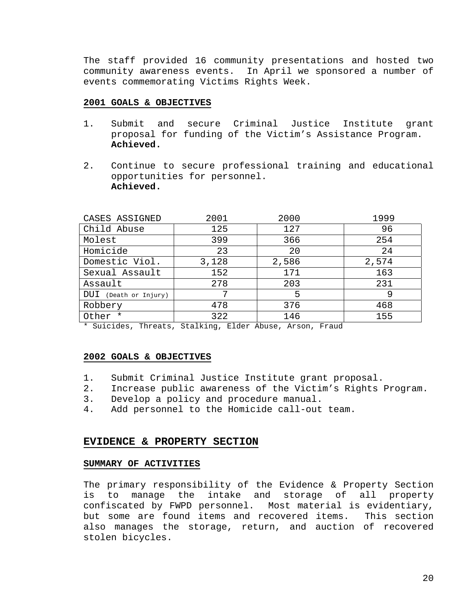The staff provided 16 community presentations and hosted two community awareness events. In April we sponsored a number of events commemorating Victims Rights Week.

#### **2001 GOALS & OBJECTIVES**

- 1. Submit and secure Criminal Justice Institute grant proposal for funding of the Victim's Assistance Program. **Achieved.**
- 2. Continue to secure professional training and educational opportunities for personnel. **Achieved.**

| CASES ASSIGNED        | 2001  | 2000  | 1999  |
|-----------------------|-------|-------|-------|
| Child Abuse           | 125   | 127   | 96    |
| Molest                | 399   | 366   | 254   |
| Homicide              | 23    | 20    | 24    |
| Domestic Viol.        | 3,128 | 2,586 | 2,574 |
| Sexual Assault        | 152   | 171   | 163   |
| Assault               | 278   | 203   | 231   |
| DUI (Death or Injury) | 7     | 5     | 9     |
| Robbery               | 478   | 376   | 468   |
| Other *               | 322   | 146   | 155   |

\* Suicides, Threats, Stalking, Elder Abuse, Arson, Fraud

#### **2002 GOALS & OBJECTIVES**

- 1. Submit Criminal Justice Institute grant proposal.
- 2. Increase public awareness of the Victim's Rights Program.
- 3. Develop a policy and procedure manual.
- 4. Add personnel to the Homicide call-out team.

#### **EVIDENCE & PROPERTY SECTION**

### **SUMMARY OF ACTIVITIES**

The primary responsibility of the Evidence & Property Section is to manage the intake and storage of all property confiscated by FWPD personnel. Most material is evidentiary, but some are found items and recovered items. This section also manages the storage, return, and auction of recovered stolen bicycles.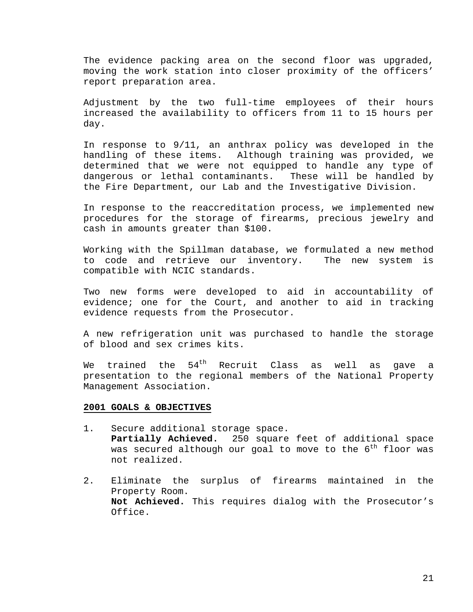The evidence packing area on the second floor was upgraded, moving the work station into closer proximity of the officers' report preparation area.

Adjustment by the two full-time employees of their hours increased the availability to officers from 11 to 15 hours per day.

In response to 9/11, an anthrax policy was developed in the handling of these items. Although training was provided, we determined that we were not equipped to handle any type of dangerous or lethal contaminants. These will be handled by the Fire Department, our Lab and the Investigative Division.

In response to the reaccreditation process, we implemented new procedures for the storage of firearms, precious jewelry and cash in amounts greater than \$100.

Working with the Spillman database, we formulated a new method to code and retrieve our inventory. The new system is compatible with NCIC standards.

Two new forms were developed to aid in accountability of evidence; one for the Court, and another to aid in tracking evidence requests from the Prosecutor.

A new refrigeration unit was purchased to handle the storage of blood and sex crimes kits.

We trained the  $54^{\text{th}}$  Recruit Class as well as gave a presentation to the regional members of the National Property Management Association.

- 1. Secure additional storage space. **Partially Achieved.** 250 square feet of additional space was secured although our goal to move to the  $6^{\text{th}}$  floor was not realized.
- 2. Eliminate the surplus of firearms maintained in the Property Room. **Not Achieved.** This requires dialog with the Prosecutor's Office.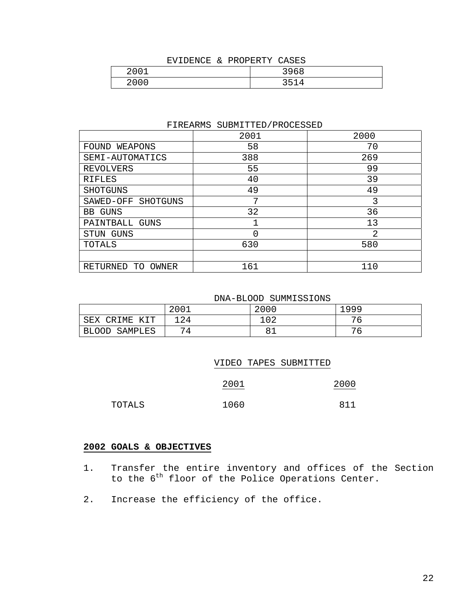## EVIDENCE & PROPERTY CASES

| 2001<br>4 U | 2060<br>コンUO |
|-------------|--------------|
| 2000c       | 251          |
| 20 U        | --           |

#### FIREARMS SUBMITTED/PROCESSED

|                         | 2001 | 2000 |
|-------------------------|------|------|
| FOUND WEAPONS           | 58   | 70   |
| SEMI-AUTOMATICS         | 388  | 269  |
| <b>REVOLVERS</b>        | 55   | 99   |
| <b>RIFLES</b>           | 40   | 39   |
| <b>SHOTGUNS</b>         | 49   | 49   |
| SAWED-OFF SHOTGUNS      | 7    | 3    |
| <b>BB GUNS</b>          | 32   | 36   |
| PAINTBALL GUNS          |      | 13   |
| STUN GUNS               | 0    | 2    |
| TOTALS                  | 630  | 580  |
|                         |      |      |
| RETURNED<br>OWNER<br>TO | 161  | 110  |

DNA-BLOOD SUMMISSIONS

|                          | 2001 | 2000 | 1999 |
|--------------------------|------|------|------|
| IME<br>SEX<br>∩R.<br>KIT | 124  | 102  | 76   |
| <b>BLOOD</b><br>SAMPLES  | 74   | பட   | 76   |

|        | VIDEO TAPES SUBMITTED |      |
|--------|-----------------------|------|
|        | 2001                  | 2000 |
| TOTALS | 1060                  | 811  |

- 1. Transfer the entire inventory and offices of the Section to the 6<sup>th</sup> floor of the Police Operations Center.
- 2. Increase the efficiency of the office.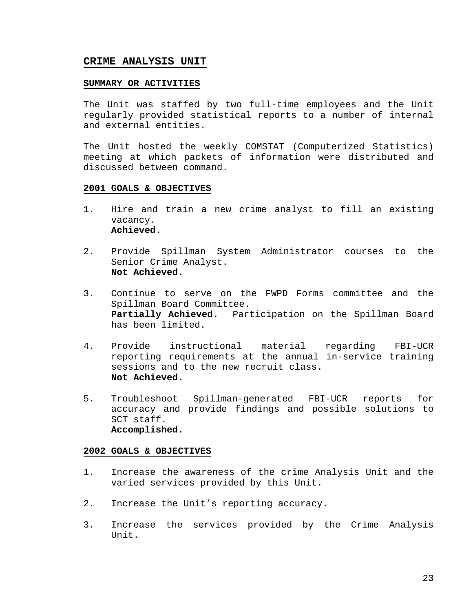## **CRIME ANALYSIS UNIT**

#### **SUMMARY OR ACTIVITIES**

The Unit was staffed by two full-time employees and the Unit regularly provided statistical reports to a number of internal and external entities.

The Unit hosted the weekly COMSTAT (Computerized Statistics) meeting at which packets of information were distributed and discussed between command.

#### **2001 GOALS & OBJECTIVES**

- 1. Hire and train a new crime analyst to fill an existing vacancy. **Achieved.**
- 2. Provide Spillman System Administrator courses to the Senior Crime Analyst. **Not Achieved.**
- 3. Continue to serve on the FWPD Forms committee and the Spillman Board Committee. **Partially Achieved.** Participation on the Spillman Board has been limited.
- 4. Provide instructional material regarding FBI-UCR reporting requirements at the annual in-service training sessions and to the new recruit class. **Not Achieved.**
- 5. Troubleshoot Spillman-generated FBI-UCR reports for accuracy and provide findings and possible solutions to SCT staff. **Accomplished.**

- 1. Increase the awareness of the crime Analysis Unit and the varied services provided by this Unit.
- 2. Increase the Unit's reporting accuracy.
- 3. Increase the services provided by the Crime Analysis Unit.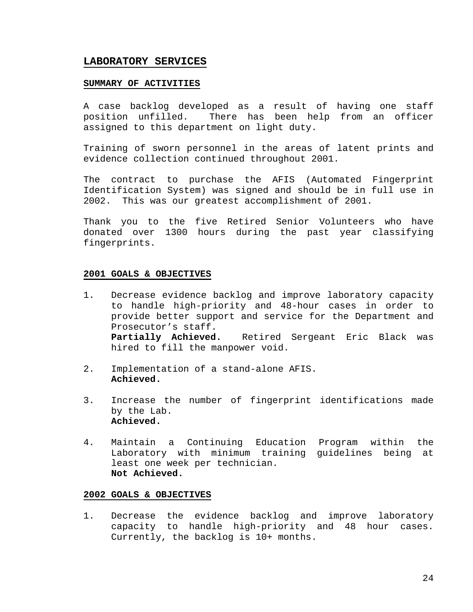## **LABORATORY SERVICES**

#### **SUMMARY OF ACTIVITIES**

A case backlog developed as a result of having one staff position unfilled. There has been help from an officer assigned to this department on light duty.

Training of sworn personnel in the areas of latent prints and evidence collection continued throughout 2001.

The contract to purchase the AFIS (Automated Fingerprint Identification System) was signed and should be in full use in 2002. This was our greatest accomplishment of 2001.

Thank you to the five Retired Senior Volunteers who have donated over 1300 hours during the past year classifying fingerprints.

### **2001 GOALS & OBJECTIVES**

- 1. Decrease evidence backlog and improve laboratory capacity to handle high-priority and 48-hour cases in order to provide better support and service for the Department and Prosecutor's staff. **Partially Achieved.** Retired Sergeant Eric Black was hired to fill the manpower void.
- 2. Implementation of a stand-alone AFIS. **Achieved.**
- 3. Increase the number of fingerprint identifications made by the Lab. **Achieved.**
- 4. Maintain a Continuing Education Program within the Laboratory with minimum training guidelines being at least one week per technician. **Not Achieved.**

#### **2002 GOALS & OBJECTIVES**

1. Decrease the evidence backlog and improve laboratory capacity to handle high-priority and 48 hour cases. Currently, the backlog is 10+ months.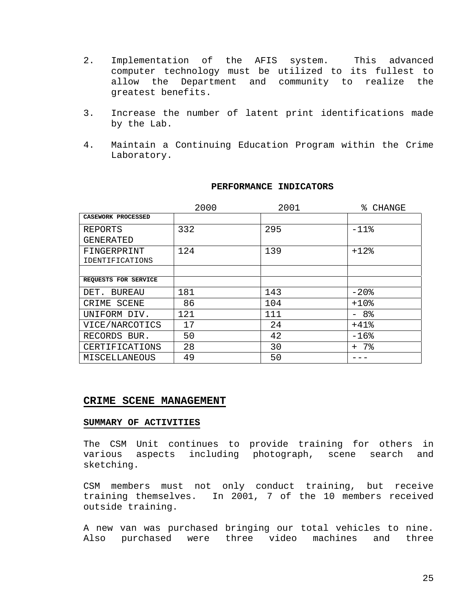- 2. Implementation of the AFIS system. This advanced computer technology must be utilized to its fullest to allow the Department and community to realize the greatest benefits.
- 3. Increase the number of latent print identifications made by the Lab.
- 4. Maintain a Continuing Education Program within the Crime Laboratory.

|                       | 2000 | 2001 | % CHANGE |
|-----------------------|------|------|----------|
| CASEWORK PROCESSED    |      |      |          |
| REPORTS               | 332  | 295  | $-11$ %  |
| <b>GENERATED</b>      |      |      |          |
| FINGERPRINT           | 124  | 139  | $+12$ %  |
| IDENTIFICATIONS       |      |      |          |
|                       |      |      |          |
| REQUESTS FOR SERVICE  |      |      |          |
| DET.<br>BUREAU        | 181  | 143  | $-20$ %  |
| CRIME SCENE           | 86   | 104  | $+10$ %  |
| UNIFORM DIV.          | 121  | 111  | - 8%     |
| VICE/NARCOTICS        | 17   | 24   | $+41$ %  |
| RECORDS BUR.          | 50   | 42   | $-16$ %  |
| <b>CERTIFICATIONS</b> | 28   | 30   | + 7%     |
| MISCELLANEOUS         | 49   | 50   |          |

### **PERFORMANCE INDICATORS**

## **CRIME SCENE MANAGEMENT**

#### **SUMMARY OF ACTIVITIES**

The CSM Unit continues to provide training for others in various aspects including photograph, scene search and sketching.

CSM members must not only conduct training, but receive training themselves. In 2001, 7 of the 10 members received outside training.

A new van was purchased bringing our total vehicles to nine. Also purchased were three video machines and three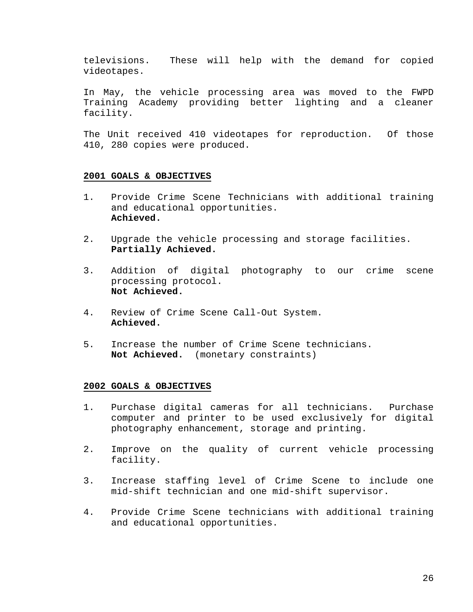televisions. These will help with the demand for copied videotapes.

In May, the vehicle processing area was moved to the FWPD Training Academy providing better lighting and a cleaner facility.

The Unit received 410 videotapes for reproduction. Of those 410, 280 copies were produced.

#### **2001 GOALS & OBJECTIVES**

- 1. Provide Crime Scene Technicians with additional training and educational opportunities. **Achieved.**
- 2. Upgrade the vehicle processing and storage facilities. **Partially Achieved.**
- 3. Addition of digital photography to our crime scene processing protocol. **Not Achieved.**
- 4. Review of Crime Scene Call-Out System. **Achieved.**
- 5. Increase the number of Crime Scene technicians. **Not Achieved.** (monetary constraints)

- 1. Purchase digital cameras for all technicians. Purchase computer and printer to be used exclusively for digital photography enhancement, storage and printing.
- 2. Improve on the quality of current vehicle processing facility.
- 3. Increase staffing level of Crime Scene to include one mid-shift technician and one mid-shift supervisor.
- 4. Provide Crime Scene technicians with additional training and educational opportunities.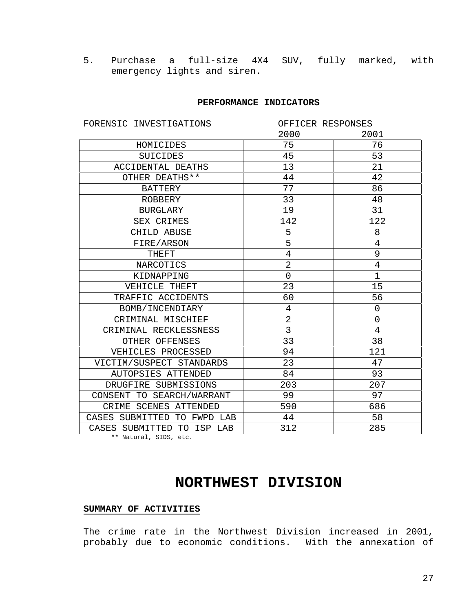5. Purchase a full-size 4X4 SUV, fully marked, with emergency lights and siren.

#### **PERFORMANCE INDICATORS**

| FORENSIC INVESTIGATIONS     | OFFICER RESPONSES |                |
|-----------------------------|-------------------|----------------|
|                             | 2000              | 2001           |
| HOMICIDES                   | 75                | 76             |
| <b>SUICIDES</b>             | 45                | 53             |
| <b>ACCIDENTAL DEATHS</b>    | 13                | 21             |
| OTHER DEATHS**              | 44                | 42             |
| <b>BATTERY</b>              | 77                | 86             |
| ROBBERY                     | 33                | 48             |
| <b>BURGLARY</b>             | 19                | 31             |
| SEX CRIMES                  | 142               | 122            |
| CHILD ABUSE                 | 5                 | 8              |
| FIRE/ARSON                  | 5                 | $\overline{4}$ |
| <b>THEFT</b>                | $\overline{4}$    | 9              |
| NARCOTICS                   | $\overline{2}$    | $\overline{4}$ |
| KIDNAPPING                  | 0                 | $\mathbf{1}$   |
| VEHICLE THEFT               | 23                | 15             |
| TRAFFIC ACCIDENTS           | 60                | 56             |
| BOMB/INCENDIARY             | 4                 | $\mathsf 0$    |
| CRIMINAL MISCHIEF           | $\overline{2}$    | $\mathbf 0$    |
| CRIMINAL RECKLESSNESS       | 3                 | $\overline{4}$ |
| OTHER OFFENSES              | 33                | 38             |
| VEHICLES PROCESSED          | 94                | 121            |
| VICTIM/SUSPECT STANDARDS    | 23                | 47             |
| AUTOPSIES ATTENDED          | 84                | 93             |
| DRUGFIRE SUBMISSIONS        | 203               | 207            |
| CONSENT TO SEARCH/WARRANT   | 99                | 97             |
| CRIME SCENES ATTENDED       | 590               | 686            |
| CASES SUBMITTED TO FWPD LAB | 44                | 58             |
| CASES SUBMITTED TO ISP LAB  | 312               | 285            |

\*\* Natural, SIDS, etc.

# **NORTHWEST DIVISION**

## **SUMMARY OF ACTIVITIES**

The crime rate in the Northwest Division increased in 2001, probably due to economic conditions. With the annexation of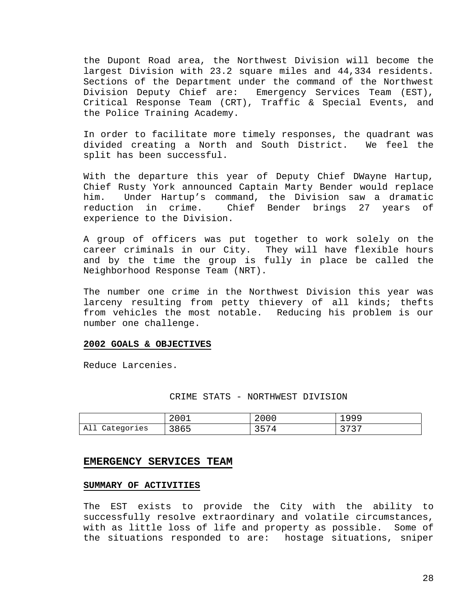the Dupont Road area, the Northwest Division will become the largest Division with 23.2 square miles and 44,334 residents. Sections of the Department under the command of the Northwest Division Deputy Chief are: Emergency Services Team (EST), Critical Response Team (CRT), Traffic & Special Events, and the Police Training Academy.

In order to facilitate more timely responses, the quadrant was divided creating a North and South District. We feel the split has been successful.

With the departure this year of Deputy Chief DWayne Hartup, Chief Rusty York announced Captain Marty Bender would replace him. Under Hartup's command, the Division saw a dramatic reduction in crime. Chief Bender brings 27 years of experience to the Division.

A group of officers was put together to work solely on the career criminals in our City. They will have flexible hours and by the time the group is fully in place be called the Neighborhood Response Team (NRT).

The number one crime in the Northwest Division this year was larceny resulting from petty thievery of all kinds; thefts from vehicles the most notable. Reducing his problem is our number one challenge.

#### **2002 GOALS & OBJECTIVES**

Reduce Larcenies.

#### CRIME STATS - NORTHWEST DIVISION

|                | 2001 | 2000               | 1999                 |
|----------------|------|--------------------|----------------------|
| All Categories | 3865 | 2571<br><u>JJI</u> | רררך<br><u>. ب ،</u> |

#### **EMERGENCY SERVICES TEAM**

### **SUMMARY OF ACTIVITIES**

The EST exists to provide the City with the ability to successfully resolve extraordinary and volatile circumstances, with as little loss of life and property as possible. Some of the situations responded to are: hostage situations, sniper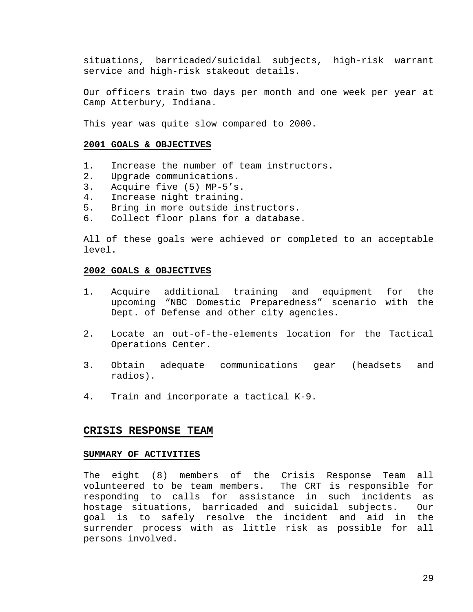situations, barricaded/suicidal subjects, high-risk warrant service and high-risk stakeout details.

Our officers train two days per month and one week per year at Camp Atterbury, Indiana.

This year was quite slow compared to 2000.

#### **2001 GOALS & OBJECTIVES**

- 1. Increase the number of team instructors.
- 2. Upgrade communications.
- 3. Acquire five (5) MP-5's.
- 4. Increase night training.
- 5. Bring in more outside instructors.
- 6. Collect floor plans for a database.

All of these goals were achieved or completed to an acceptable level.

#### **2002 GOALS & OBJECTIVES**

- 1. Acquire additional training and equipment for the upcoming "NBC Domestic Preparedness" scenario with the Dept. of Defense and other city agencies.
- 2. Locate an out-of-the-elements location for the Tactical Operations Center.
- 3. Obtain adequate communications gear (headsets and radios).
- 4. Train and incorporate a tactical K-9.

#### **CRISIS RESPONSE TEAM**

#### **SUMMARY OF ACTIVITIES**

The eight (8) members of the Crisis Response Team all volunteered to be team members. The CRT is responsible for responding to calls for assistance in such incidents as hostage situations, barricaded and suicidal subjects. Our goal is to safely resolve the incident and aid in the surrender process with as little risk as possible for all persons involved.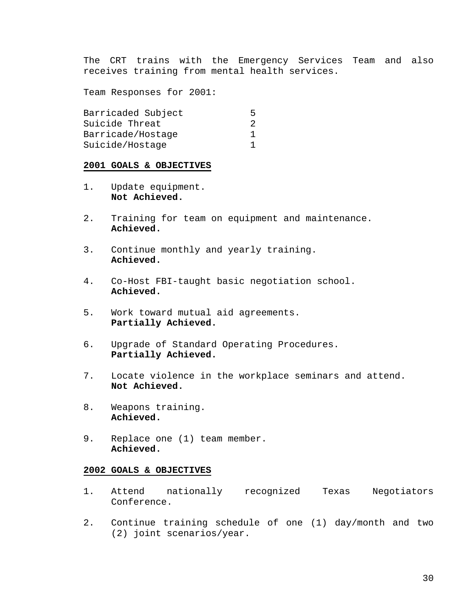The CRT trains with the Emergency Services Team and also receives training from mental health services.

Team Responses for 2001:

| Barricaded Subject | ↳             |
|--------------------|---------------|
| Suicide Threat     | $\mathcal{L}$ |
| Barricade/Hostage  |               |
| Suicide/Hostage    |               |

### **2001 GOALS & OBJECTIVES**

- 1. Update equipment. **Not Achieved.**
- 2. Training for team on equipment and maintenance. **Achieved.**
- 3. Continue monthly and yearly training. **Achieved.**
- 4. Co-Host FBI-taught basic negotiation school. **Achieved.**
- 5. Work toward mutual aid agreements. **Partially Achieved.**
- 6. Upgrade of Standard Operating Procedures. **Partially Achieved.**
- 7. Locate violence in the workplace seminars and attend. **Not Achieved.**
- 8. Weapons training. **Achieved.**
- 9. Replace one (1) team member. **Achieved.**

- 1. Attend nationally recognized Texas Negotiators Conference.
- 2. Continue training schedule of one (1) day/month and two (2) joint scenarios/year.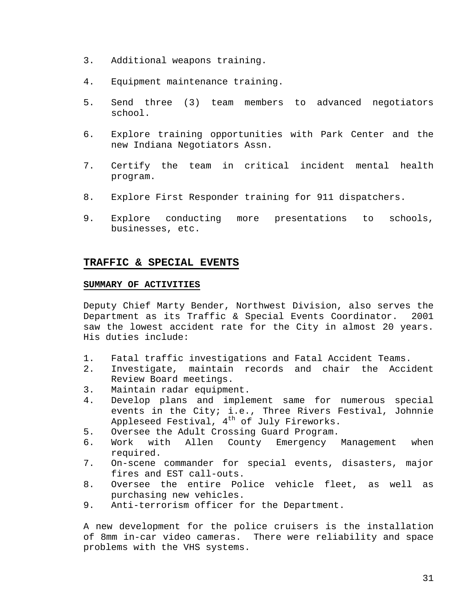- 3. Additional weapons training.
- 4. Equipment maintenance training.
- 5. Send three (3) team members to advanced negotiators school.
- 6. Explore training opportunities with Park Center and the new Indiana Negotiators Assn.
- 7. Certify the team in critical incident mental health program.
- 8. Explore First Responder training for 911 dispatchers.
- 9. Explore conducting more presentations to schools, businesses, etc.

## **TRAFFIC & SPECIAL EVENTS**

### **SUMMARY OF ACTIVITIES**

Deputy Chief Marty Bender, Northwest Division, also serves the Department as its Traffic & Special Events Coordinator. 2001 saw the lowest accident rate for the City in almost 20 years. His duties include:

- 1. Fatal traffic investigations and Fatal Accident Teams.
- 2. Investigate, maintain records and chair the Accident Review Board meetings.
- 3. Maintain radar equipment.
- 4. Develop plans and implement same for numerous special events in the City; i.e., Three Rivers Festival, Johnnie Appleseed Festival, 4<sup>th</sup> of July Fireworks.
- 5. Oversee the Adult Crossing Guard Program.<br>6. Work with Allen County Emergency
- 6. Work with Allen County Emergency Management when required.
- 7. On-scene commander for special events, disasters, major fires and EST call-outs.
- 8. Oversee the entire Police vehicle fleet, as well as purchasing new vehicles.
- 9. Anti-terrorism officer for the Department.

A new development for the police cruisers is the installation of 8mm in-car video cameras. There were reliability and space problems with the VHS systems.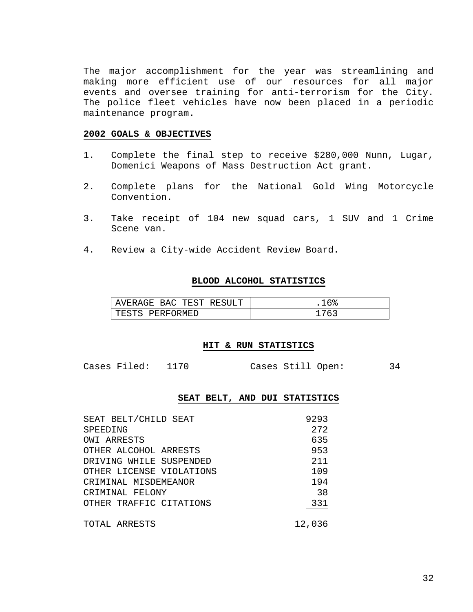The major accomplishment for the year was streamlining and making more efficient use of our resources for all major events and oversee training for anti-terrorism for the City. The police fleet vehicles have now been placed in a periodic maintenance program.

#### **2002 GOALS & OBJECTIVES**

- 1. Complete the final step to receive \$280,000 Nunn, Lugar, Domenici Weapons of Mass Destruction Act grant.
- 2. Complete plans for the National Gold Wing Motorcycle Convention.
- 3. Take receipt of 104 new squad cars, 1 SUV and 1 Crime Scene van.
- 4. Review a City-wide Accident Review Board.

#### **BLOOD ALCOHOL STATISTICS**

| AVERAGE BAC TEST RESULT | 16%  |
|-------------------------|------|
| TESTS PERFORMED         | 1763 |

#### **HIT & RUN STATISTICS**

#### **SEAT BELT, AND DUI STATISTICS**

| SEAT BELT/CHILD SEAT     | 9293   |
|--------------------------|--------|
| SPEEDING                 | 272    |
| OWI ARRESTS              | 635    |
| OTHER ALCOHOL ARRESTS    | 953    |
| DRIVING WHILE SUSPENDED  | 211    |
| OTHER LICENSE VIOLATIONS | 109    |
| CRIMINAL MISDEMEANOR     | 194    |
| CRIMINAL FELONY          | 38     |
| OTHER TRAFFIC CITATIONS  | 331    |
| TOTAL ARRESTS            | 12,036 |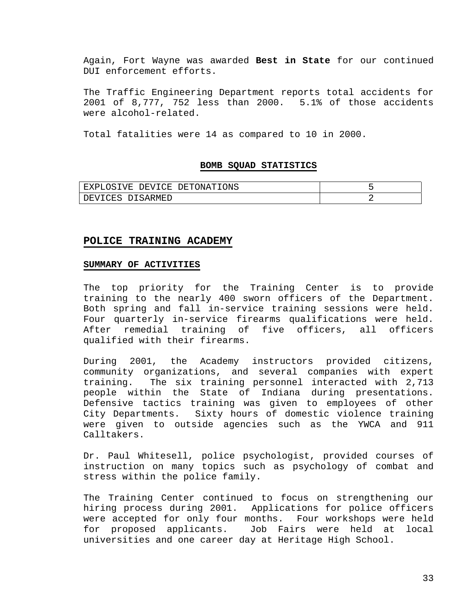Again, Fort Wayne was awarded **Best in State** for our continued DUI enforcement efforts.

The Traffic Engineering Department reports total accidents for 2001 of 8,777, 752 less than 2000. 5.1% of those accidents were alcohol-related.

Total fatalities were 14 as compared to 10 in 2000.

#### **BOMB SQUAD STATISTICS**

| LOSIVE DEVICE DETONATIONS<br>EXPI |  |
|-----------------------------------|--|
| DEVICES DISARMED                  |  |

#### **POLICE TRAINING ACADEMY**

#### **SUMMARY OF ACTIVITIES**

The top priority for the Training Center is to provide training to the nearly 400 sworn officers of the Department. Both spring and fall in-service training sessions were held. Four quarterly in-service firearms qualifications were held. After remedial training of five officers, all officers qualified with their firearms.

During 2001, the Academy instructors provided citizens, community organizations, and several companies with expert training. The six training personnel interacted with 2,713 people within the State of Indiana during presentations. Defensive tactics training was given to employees of other City Departments. Sixty hours of domestic violence training were given to outside agencies such as the YWCA and 911 Calltakers.

Dr. Paul Whitesell, police psychologist, provided courses of instruction on many topics such as psychology of combat and stress within the police family.

The Training Center continued to focus on strengthening our hiring process during 2001. Applications for police officers were accepted for only four months. Four workshops were held for proposed applicants. Job Fairs were held at local universities and one career day at Heritage High School.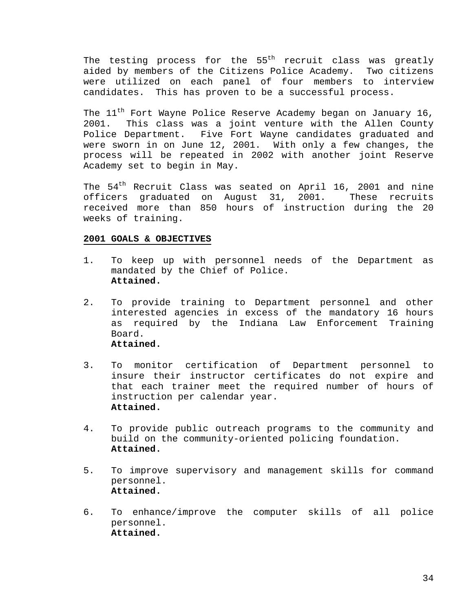The testing process for the  $55<sup>th</sup>$  recruit class was greatly aided by members of the Citizens Police Academy. Two citizens were utilized on each panel of four members to interview candidates. This has proven to be a successful process.

The  $11<sup>th</sup>$  Fort Wayne Police Reserve Academy began on January 16, 2001. This class was a joint venture with the Allen County Police Department. Five Fort Wayne candidates graduated and were sworn in on June 12, 2001. With only a few changes, the process will be repeated in 2002 with another joint Reserve Academy set to begin in May.

The 54<sup>th</sup> Recruit Class was seated on April 16, 2001 and nine officers graduated on August 31, 2001. These recruits received more than 850 hours of instruction during the 20 weeks of training.

- 1. To keep up with personnel needs of the Department as mandated by the Chief of Police. **Attained.**
- 2. To provide training to Department personnel and other interested agencies in excess of the mandatory 16 hours as required by the Indiana Law Enforcement Training Board. **Attained.**
- 3. To monitor certification of Department personnel to insure their instructor certificates do not expire and that each trainer meet the required number of hours of instruction per calendar year. **Attained.**
- 4. To provide public outreach programs to the community and build on the community-oriented policing foundation. **Attained.**
- 5. To improve supervisory and management skills for command personnel. **Attained.**
- 6. To enhance/improve the computer skills of all police personnel. **Attained.**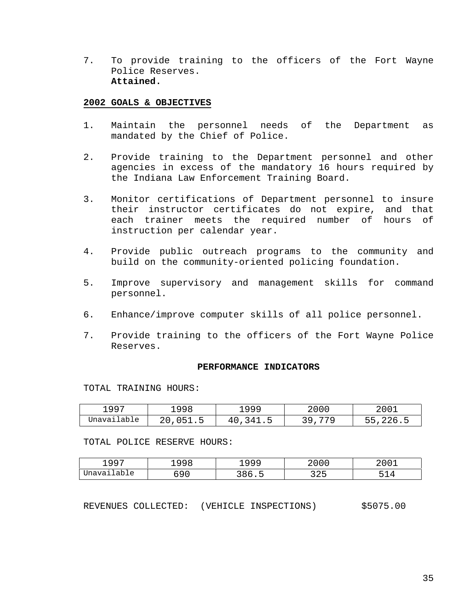7. To provide training to the officers of the Fort Wayne Police Reserves. **Attained.**

#### **2002 GOALS & OBJECTIVES**

- 1. Maintain the personnel needs of the Department as mandated by the Chief of Police.
- 2. Provide training to the Department personnel and other agencies in excess of the mandatory 16 hours required by the Indiana Law Enforcement Training Board.
- 3. Monitor certifications of Department personnel to insure their instructor certificates do not expire, and that each trainer meets the required number of hours of instruction per calendar year.
- 4. Provide public outreach programs to the community and build on the community-oriented policing foundation.
- 5. Improve supervisory and management skills for command personnel.
- 6. Enhance/improve computer skills of all police personnel.
- 7. Provide training to the officers of the Fort Wayne Police Reserves.

#### **PERFORMANCE INDICATORS**

TOTAL TRAINING HOURS:

| 1997        | ⊥998                           | ⊥999         | 2000  | 2001     |
|-------------|--------------------------------|--------------|-------|----------|
| Unavailable | 20.<br>051<br>∪ → ⊥ • <i>→</i> | 341.5<br>40, | 3 Q . | 55,226.5 |

TOTAL POLICE RESERVE HOURS:

| . 997<br>— <i>— —</i> | $\cap$ $\cap$<br>ソソど | u u u<br>— <i>— — —</i> | 2000                | 2001 |
|-----------------------|----------------------|-------------------------|---------------------|------|
| Unavailable           | ໍດ ດ<br>nu<br>0 U U  | 286<br>- - - -          | <u>ລລ⊏</u><br>ر ⊿ ر | - 1  |

REVENUES COLLECTED: (VEHICLE INSPECTIONS) \$5075.00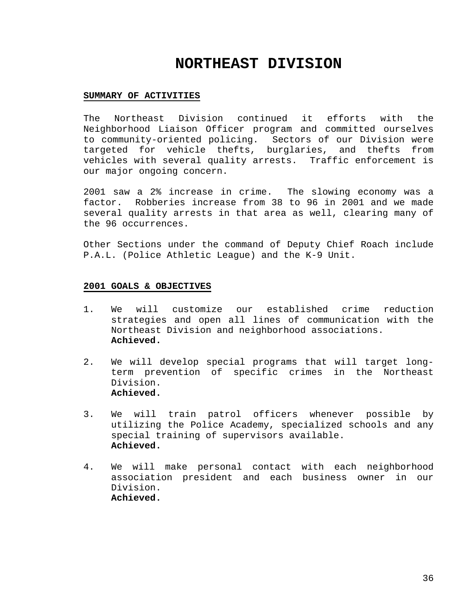# **NORTHEAST DIVISION**

#### **SUMMARY OF ACTIVITIES**

The Northeast Division continued it efforts with the Neighborhood Liaison Officer program and committed ourselves to community-oriented policing. Sectors of our Division were targeted for vehicle thefts, burglaries, and thefts from vehicles with several quality arrests. Traffic enforcement is our major ongoing concern.

2001 saw a 2% increase in crime. The slowing economy was a factor. Robberies increase from 38 to 96 in 2001 and we made several quality arrests in that area as well, clearing many of the 96 occurrences.

Other Sections under the command of Deputy Chief Roach include P.A.L. (Police Athletic League) and the K-9 Unit.

- 1. We will customize our established crime reduction strategies and open all lines of communication with the Northeast Division and neighborhood associations. **Achieved.**
- 2. We will develop special programs that will target longterm prevention of specific crimes in the Northeast Division. **Achieved.**
- 3. We will train patrol officers whenever possible by utilizing the Police Academy, specialized schools and any special training of supervisors available. **Achieved.**
- 4. We will make personal contact with each neighborhood association president and each business owner in our Division. **Achieved.**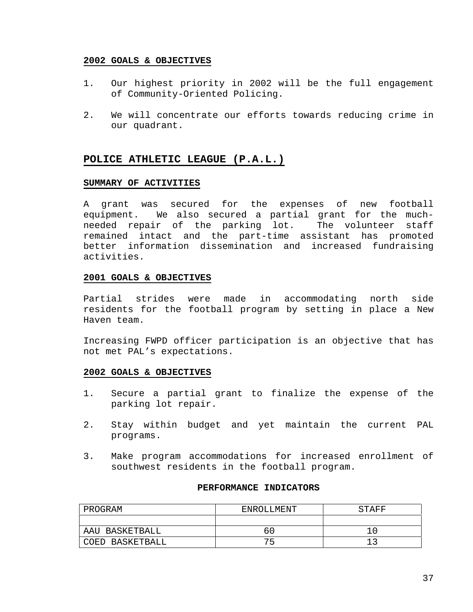#### **2002 GOALS & OBJECTIVES**

- 1. Our highest priority in 2002 will be the full engagement of Community-Oriented Policing.
- 2. We will concentrate our efforts towards reducing crime in our quadrant.

## **POLICE ATHLETIC LEAGUE (P.A.L.)**

### **SUMMARY OF ACTIVITIES**

A grant was secured for the expenses of new football equipment. We also secured a partial grant for the muchneeded repair of the parking lot. The volunteer staff remained intact and the part-time assistant has promoted better information dissemination and increased fundraising activities.

## **2001 GOALS & OBJECTIVES**

Partial strides were made in accommodating north side residents for the football program by setting in place a New Haven team.

Increasing FWPD officer participation is an objective that has not met PAL's expectations.

## **2002 GOALS & OBJECTIVES**

- 1. Secure a partial grant to finalize the expense of the parking lot repair.
- 2. Stay within budget and yet maintain the current PAL programs.
- 3. Make program accommodations for increased enrollment of southwest residents in the football program.

#### **PERFORMANCE INDICATORS**

| PROGRAM         | ENROLLMENT | STAFF |
|-----------------|------------|-------|
|                 |            |       |
| AAU BASKETBALL  | 6 C        |       |
| COED BASKETBALL | ヮに         |       |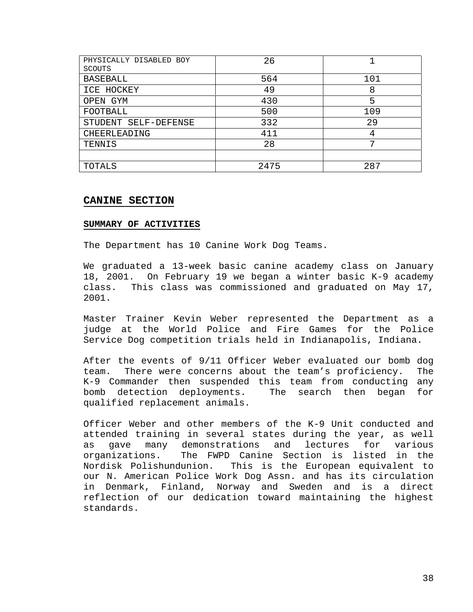| PHYSICALLY DISABLED BOY | 26   |     |
|-------------------------|------|-----|
| <b>SCOUTS</b>           |      |     |
| <b>BASEBALL</b>         | 564  | 101 |
| ICE HOCKEY              | 49   | 8   |
| OPEN GYM                | 430  | 5   |
| FOOTBALL                | 500  | 109 |
| STUDENT SELF-DEFENSE    | 332  | 29  |
| CHEERLEADING            | 411  | 4   |
| TENNIS                  | 28   | ⇁   |
|                         |      |     |
| TOTALS                  | 2475 | 287 |

## **CANINE SECTION**

#### **SUMMARY OF ACTIVITIES**

The Department has 10 Canine Work Dog Teams.

We graduated a 13-week basic canine academy class on January 18, 2001. On February 19 we began a winter basic K-9 academy class. This class was commissioned and graduated on May 17, 2001.

Master Trainer Kevin Weber represented the Department as a judge at the World Police and Fire Games for the Police Service Dog competition trials held in Indianapolis, Indiana.

After the events of 9/11 Officer Weber evaluated our bomb dog team. There were concerns about the team's proficiency. The K-9 Commander then suspended this team from conducting any bomb detection deployments. The search then began for qualified replacement animals.

Officer Weber and other members of the K-9 Unit conducted and attended training in several states during the year, as well as gave many demonstrations and lectures for various organizations. The FWPD Canine Section is listed in the Nordisk Polishundunion. This is the European equivalent to our N. American Police Work Dog Assn. and has its circulation in Denmark, Finland, Norway and Sweden and is a direct reflection of our dedication toward maintaining the highest standards.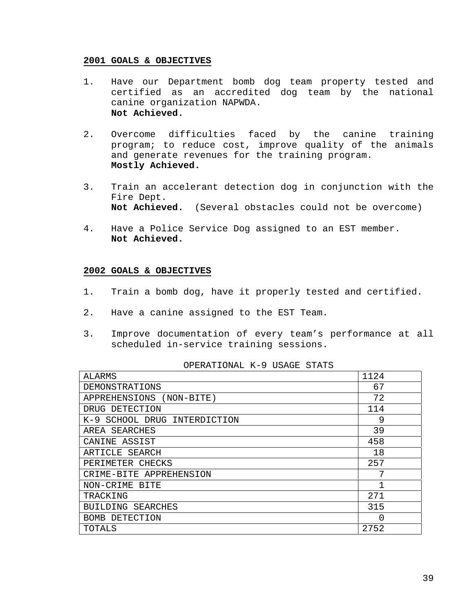#### **2001 GOALS & OBJECTIVES**

- 1. Have our Department bomb dog team property tested and certified as an accredited dog team by the national canine organization NAPWDA. **Not Achieved.**
- 2. Overcome difficulties faced by the canine training program; to reduce cost, improve quality of the animals and generate revenues for the training program. **Mostly Achieved.**
- 3. Train an accelerant detection dog in conjunction with the Fire Dept. **Not Achieved.** (Several obstacles could not be overcome)
- 4. Have a Police Service Dog assigned to an EST member. **Not Achieved.**

#### **2002 GOALS & OBJECTIVES**

- 1. Train a bomb dog, have it properly tested and certified.
- 2. Have a canine assigned to the EST Team.
- 3. Improve documentation of every team's performance at all scheduled in-service training sessions.

#### OPERATIONAL K-9 USAGE STATS

| ALARMS                       | 1124         |
|------------------------------|--------------|
| DEMONSTRATIONS               | 67           |
| APPREHENSIONS (NON-BITE)     | 72           |
| DRUG DETECTION               | 114          |
| K-9 SCHOOL DRUG INTERDICTION | 9            |
| AREA SEARCHES                | 39           |
| CANINE ASSIST                | 458          |
| ARTICLE SEARCH               | 18           |
| PERIMETER CHECKS             | 257          |
| CRIME-BITE APPREHENSION      | 7            |
| NON-CRIME<br>BITE            | $\mathbf{1}$ |
| TRACKING                     | 271          |
| BUILDING<br>SEARCHES         | 315          |
| BOMB DETECTION               | O            |
| TOTALS                       | 2752         |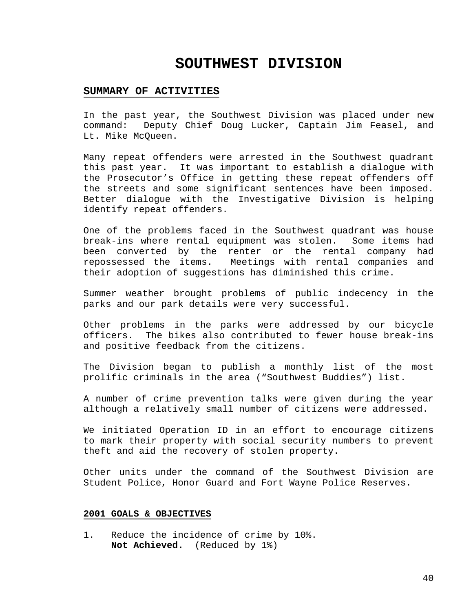## **SOUTHWEST DIVISION**

## **SUMMARY OF ACTIVITIES**

In the past year, the Southwest Division was placed under new command: Deputy Chief Doug Lucker, Captain Jim Feasel, and Lt. Mike McQueen.

Many repeat offenders were arrested in the Southwest quadrant this past year. It was important to establish a dialogue with the Prosecutor's Office in getting these repeat offenders off the streets and some significant sentences have been imposed. Better dialogue with the Investigative Division is helping identify repeat offenders.

One of the problems faced in the Southwest quadrant was house break-ins where rental equipment was stolen. Some items had been converted by the renter or the rental company had repossessed the items. Meetings with rental companies and their adoption of suggestions has diminished this crime.

Summer weather brought problems of public indecency in the parks and our park details were very successful.

Other problems in the parks were addressed by our bicycle officers. The bikes also contributed to fewer house break-ins and positive feedback from the citizens.

The Division began to publish a monthly list of the most prolific criminals in the area ("Southwest Buddies") list.

A number of crime prevention talks were given during the year although a relatively small number of citizens were addressed.

We initiated Operation ID in an effort to encourage citizens to mark their property with social security numbers to prevent theft and aid the recovery of stolen property.

Other units under the command of the Southwest Division are Student Police, Honor Guard and Fort Wayne Police Reserves.

#### **2001 GOALS & OBJECTIVES**

1. Reduce the incidence of crime by 10%. **Not Achieved.** (Reduced by 1%)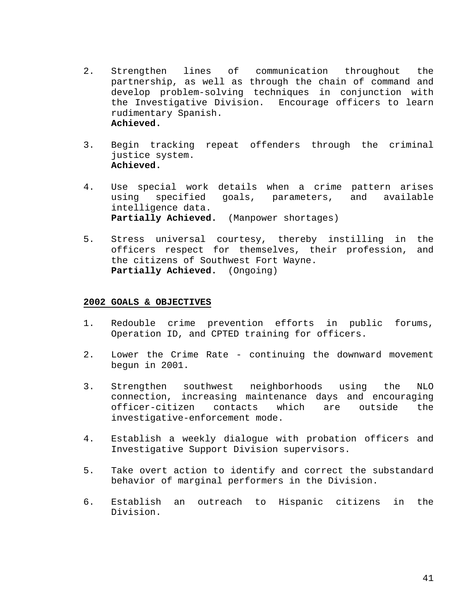- 2. Strengthen lines of communication throughout the partnership, as well as through the chain of command and develop problem-solving techniques in conjunction with the Investigative Division. Encourage officers to learn rudimentary Spanish. **Achieved.**
- 3. Begin tracking repeat offenders through the criminal justice system. **Achieved.**
- 4. Use special work details when a crime pattern arises using specified goals, parameters, and available intelligence data. **Partially Achieved.** (Manpower shortages)
- 5. Stress universal courtesy, thereby instilling in the officers respect for themselves, their profession, and the citizens of Southwest Fort Wayne. **Partially Achieved.** (Ongoing)

- 1. Redouble crime prevention efforts in public forums, Operation ID, and CPTED training for officers.
- 2. Lower the Crime Rate continuing the downward movement begun in 2001.
- 3. Strengthen southwest neighborhoods using the NLO connection, increasing maintenance days and encouraging officer-citizen contacts which are outside the investigative-enforcement mode.
- 4. Establish a weekly dialogue with probation officers and Investigative Support Division supervisors.
- 5. Take overt action to identify and correct the substandard behavior of marginal performers in the Division.
- 6. Establish an outreach to Hispanic citizens in the Division.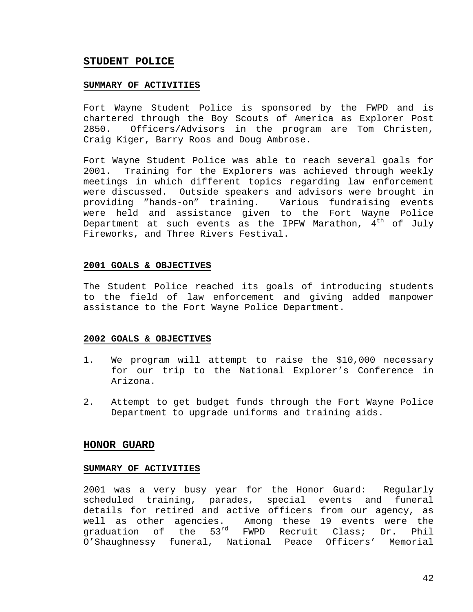## **STUDENT POLICE**

#### **SUMMARY OF ACTIVITIES**

Fort Wayne Student Police is sponsored by the FWPD and is chartered through the Boy Scouts of America as Explorer Post 2850. Officers/Advisors in the program are Tom Christen, Craig Kiger, Barry Roos and Doug Ambrose.

Fort Wayne Student Police was able to reach several goals for 2001. Training for the Explorers was achieved through weekly meetings in which different topics regarding law enforcement were discussed. Outside speakers and advisors were brought in providing "hands-on" training. Various fundraising events were held and assistance given to the Fort Wayne Police Department at such events as the IPFW Marathon,  $4<sup>th</sup>$  of July Fireworks, and Three Rivers Festival.

#### **2001 GOALS & OBJECTIVES**

The Student Police reached its goals of introducing students to the field of law enforcement and giving added manpower assistance to the Fort Wayne Police Department.

#### **2002 GOALS & OBJECTIVES**

- 1. We program will attempt to raise the \$10,000 necessary for our trip to the National Explorer's Conference in Arizona.
- 2. Attempt to get budget funds through the Fort Wayne Police Department to upgrade uniforms and training aids.

#### **HONOR GUARD**

#### **SUMMARY OF ACTIVITIES**

2001 was a very busy year for the Honor Guard: Regularly scheduled training, parades, special events and funeral details for retired and active officers from our agency, as well as other agencies. Among these 19 events were the graduation of the 53rd FWPD Recruit Class; Dr. Phil O'Shaughnessy funeral, National Peace Officers' Memorial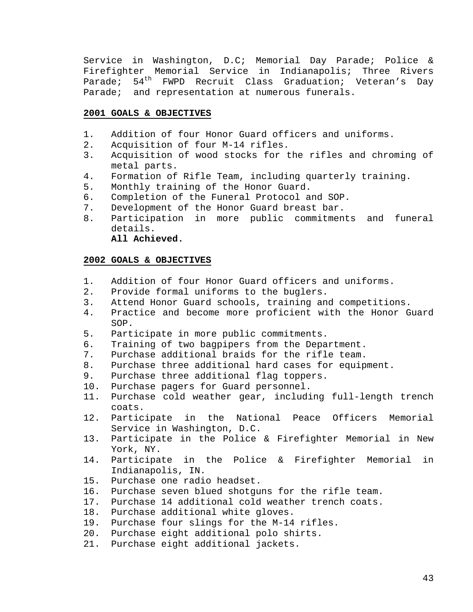Service in Washington, D.C; Memorial Day Parade; Police & Firefighter Memorial Service in Indianapolis; Three Rivers Parade;  $54<sup>th</sup>$  FWPD Recruit Class Graduation; Veteran's Day Parade; and representation at numerous funerals.

#### **2001 GOALS & OBJECTIVES**

- 1. Addition of four Honor Guard officers and uniforms.
- 2. Acquisition of four M-14 rifles.
- 3. Acquisition of wood stocks for the rifles and chroming of metal parts.
- 4. Formation of Rifle Team, including quarterly training.
- 5. Monthly training of the Honor Guard.
- 6. Completion of the Funeral Protocol and SOP.
- 7. Development of the Honor Guard breast bar.
- 8. Participation in more public commitments and funeral details. **All Achieved.**

- 1. Addition of four Honor Guard officers and uniforms.
- 2. Provide formal uniforms to the buglers.
- 3. Attend Honor Guard schools, training and competitions.
- 4. Practice and become more proficient with the Honor Guard SOP.
- 5. Participate in more public commitments.
- 6. Training of two bagpipers from the Department.
- 7. Purchase additional braids for the rifle team.
- 8. Purchase three additional hard cases for equipment.
- 9. Purchase three additional flag toppers.
- 10. Purchase pagers for Guard personnel.
- 11. Purchase cold weather gear, including full-length trench coats.
- 12. Participate in the National Peace Officers Memorial Service in Washington, D.C.
- 13. Participate in the Police & Firefighter Memorial in New York, NY.
- 14. Participate in the Police & Firefighter Memorial in Indianapolis, IN.
- 15. Purchase one radio headset.
- 16. Purchase seven blued shotguns for the rifle team.
- 17. Purchase 14 additional cold weather trench coats.
- 18. Purchase additional white gloves.
- 19. Purchase four slings for the M-14 rifles.
- 20. Purchase eight additional polo shirts.
- 21. Purchase eight additional jackets.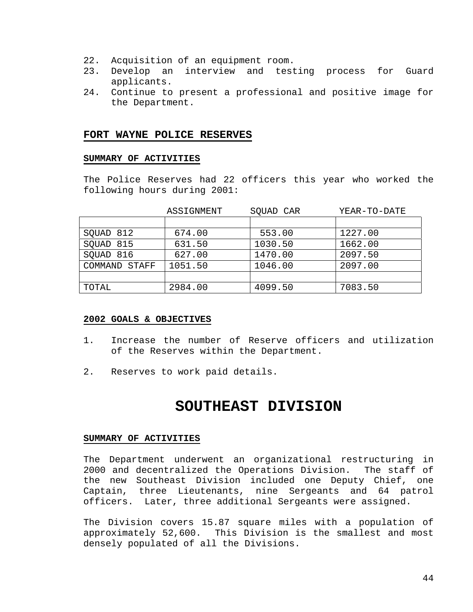- 22. Acquisition of an equipment room.
- 23. Develop an interview and testing process for Guard applicants.
- 24. Continue to present a professional and positive image for the Department.

#### **FORT WAYNE POLICE RESERVES**

#### **SUMMARY OF ACTIVITIES**

The Police Reserves had 22 officers this year who worked the following hours during 2001:

|               | ASSIGNMENT | SQUAD CAR | YEAR-TO-DATE |  |
|---------------|------------|-----------|--------------|--|
|               |            |           |              |  |
| SQUAD 812     | 674.00     | 553.00    | 1227.00      |  |
| SQUAD 815     | 631.50     | 1030.50   | 1662.00      |  |
| SOUAD 816     | 627.00     | 1470.00   | 2097.50      |  |
| COMMAND STAFF | 1051.50    | 1046.00   | 2097.00      |  |
|               |            |           |              |  |
| TOTAL         | 2984.00    | 4099.50   | 7083.50      |  |

#### **2002 GOALS & OBJECTIVES**

- 1. Increase the number of Reserve officers and utilization of the Reserves within the Department.
- 2. Reserves to work paid details.

# **SOUTHEAST DIVISION**

#### **SUMMARY OF ACTIVITIES**

The Department underwent an organizational restructuring in 2000 and decentralized the Operations Division. The staff of the new Southeast Division included one Deputy Chief, one Captain, three Lieutenants, nine Sergeants and 64 patrol officers. Later, three additional Sergeants were assigned.

The Division covers 15.87 square miles with a population of approximately 52,600. This Division is the smallest and most densely populated of all the Divisions.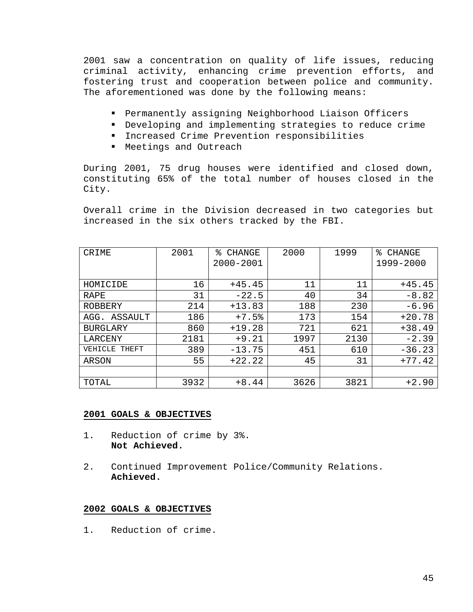2001 saw a concentration on quality of life issues, reducing criminal activity, enhancing crime prevention efforts, and fostering trust and cooperation between police and community. The aforementioned was done by the following means:

- ! Permanently assigning Neighborhood Liaison Officers
- ! Developing and implementing strategies to reduce crime
- ! Increased Crime Prevention responsibilities
- ! Meetings and Outreach

During 2001, 75 drug houses were identified and closed down, constituting 65% of the total number of houses closed in the City.

Overall crime in the Division decreased in two categories but increased in the six others tracked by the FBI.

| CRIME            | 2001 | °<br>CHANGE   | 2000 | 1999 | °<br>CHANGE |
|------------------|------|---------------|------|------|-------------|
|                  |      | $2000 - 2001$ |      |      | 1999-2000   |
|                  |      |               |      |      |             |
| HOMICIDE         | 16   | $+45.45$      | 11   | 11   | $+45.45$    |
| RAPE             | 31   | $-22.5$       | 40   | 34   | $-8.82$     |
| <b>ROBBERY</b>   | 214  | $+13.83$      | 188  | 230  | $-6.96$     |
| ASSAULT<br>AGG.  | 186  | $+7.5%$       | 173  | 154  | $+20.78$    |
| <b>BURGLARY</b>  | 860  | $+19.28$      | 721  | 621  | $+38.49$    |
| LARCENY          | 2181 | $+9.21$       | 1997 | 2130 | $-2.39$     |
| VEHICLE<br>THEFT | 389  | $-13.75$      | 451  | 610  | $-36.23$    |
| ARSON            | 55   | $+22.22$      | 45   | 31   | $+77.42$    |
|                  |      |               |      |      |             |
| TOTAL            | 3932 | $+8.44$       | 3626 | 3821 | $+2.90$     |

## **2001 GOALS & OBJECTIVES**

- 1. Reduction of crime by 3%. **Not Achieved.**
- 2. Continued Improvement Police/Community Relations. **Achieved.**

## **2002 GOALS & OBJECTIVES**

1. Reduction of crime.